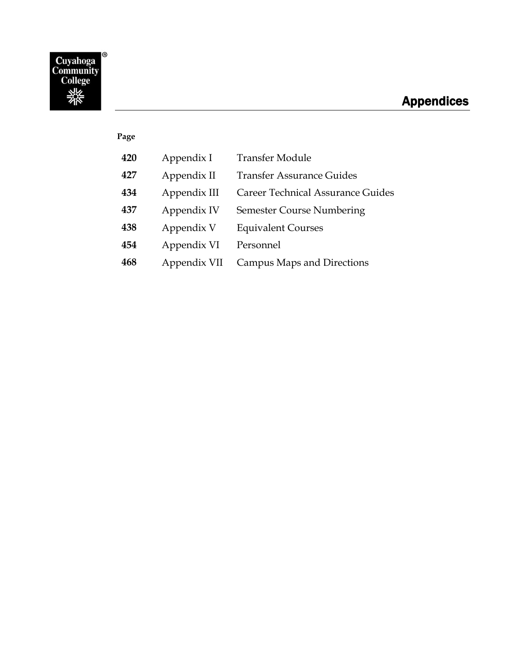# **Appendices**

## **Page**

| 420 | Appendix I   | <b>Transfer Module</b>            |
|-----|--------------|-----------------------------------|
| 427 | Appendix II  | <b>Transfer Assurance Guides</b>  |
| 434 | Appendix III | Career Technical Assurance Guides |
| 437 | Appendix IV  | <b>Semester Course Numbering</b>  |
| 438 | Appendix V   | <b>Equivalent Courses</b>         |
| 454 | Appendix VI  | Personnel                         |
| 468 | Appendix VII | <b>Campus Maps and Directions</b> |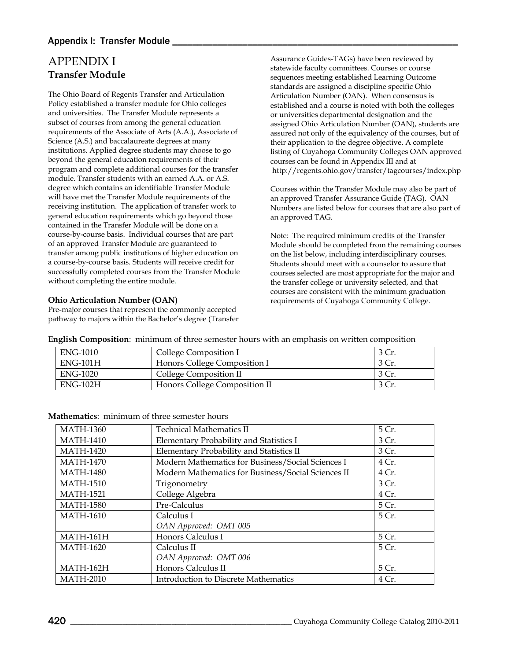# <span id="page-1-0"></span>APPENDIX I **Transfer Module**

The Ohio Board of Regents Transfer and Articulation Policy established a transfer module for Ohio colleges and universities. The Transfer Module represents a subset of courses from among the general education requirements of the Associate of Arts (A.A.), Associate of Science (A.S.) and baccalaureate degrees at many institutions. Applied degree students may choose to go beyond the general education requirements of their program and complete additional courses for the transfer module. Transfer students with an earned A.A. or A.S. degree which contains an identifiable Transfer Module will have met the Transfer Module requirements of the receiving institution. The application of transfer work to general education requirements which go beyond those contained in the Transfer Module will be done on a course-by-course basis. Individual courses that are part of an approved Transfer Module are guaranteed to transfer among public institutions of higher education on a course-by-course basis. Students will receive credit for successfully completed courses from the Transfer Module without completing the entire module.

#### **Ohio Articulation Number (OAN)**

Pre-major courses that represent the commonly accepted pathway to majors within the Bachelor's degree (Transfer Assurance Guides-TAGs) have been reviewed by statewide faculty committees. Courses or course sequences meeting established Learning Outcome standards are assigned a discipline specific Ohio Articulation Number (OAN). When consensus is established and a course is noted with both the colleges or universities departmental designation and the assigned Ohio Articulation Number (OAN), students are assured not only of the equivalency of the courses, but of their application to the degree objective. A complete listing of Cuyahoga Community Colleges OAN approved courses can be found in Appendix III and at <http://regents.ohio.gov/transfer/tagcourses/index.php>

Courses within the Transfer Module may also be part of an approved Transfer Assurance Guide (TAG). OAN Numbers are listed below for courses that are also part of an approved TAG.

Note: The required minimum credits of the Transfer Module should be completed from the remaining courses on the list below, including interdisciplinary courses. Students should meet with a counselor to assure that courses selected are most appropriate for the major and the transfer college or university selected, and that courses are consistent with the minimum graduation requirements of Cuyahoga Community College.

**English Composition**: minimum of three semester hours with an emphasis on written composition

| <b>ENG-1010</b> | College Composition I         | 3 Cr. |
|-----------------|-------------------------------|-------|
| $ENG-101H$      | Honors College Composition I  | 3 Cr. |
| <b>ENG-1020</b> | College Composition II        | 3 Cr. |
| $ENG-102H$      | Honors College Composition II | 3 Cr. |

| <b>MATH-1360</b> | <b>Technical Mathematics II</b>                    | 5 Cr. |
|------------------|----------------------------------------------------|-------|
| <b>MATH-1410</b> | Elementary Probability and Statistics I            | 3 Cr. |
| <b>MATH-1420</b> | Elementary Probability and Statistics II           | 3 Cr. |
| <b>MATH-1470</b> | Modern Mathematics for Business/Social Sciences I  | 4 Cr. |
| <b>MATH-1480</b> | Modern Mathematics for Business/Social Sciences II | 4 Cr. |
| <b>MATH-1510</b> | Trigonometry                                       | 3 Cr. |
| <b>MATH-1521</b> | College Algebra                                    | 4 Cr. |
| <b>MATH-1580</b> | Pre-Calculus                                       | 5 Cr. |
| <b>MATH-1610</b> | Calculus I                                         | 5 Cr. |
|                  | OAN Approved: OMT 005                              |       |
| MATH-161H        | Honors Calculus I                                  | 5 Cr. |
| <b>MATH-1620</b> | Calculus II                                        | 5 Cr. |
|                  | OAN Approved: OMT 006                              |       |
| MATH-162H        | Honors Calculus II                                 | 5 Cr. |
| <b>MATH-2010</b> | <b>Introduction to Discrete Mathematics</b>        | 4 Cr. |

#### **Mathematics**: minimum of three semester hours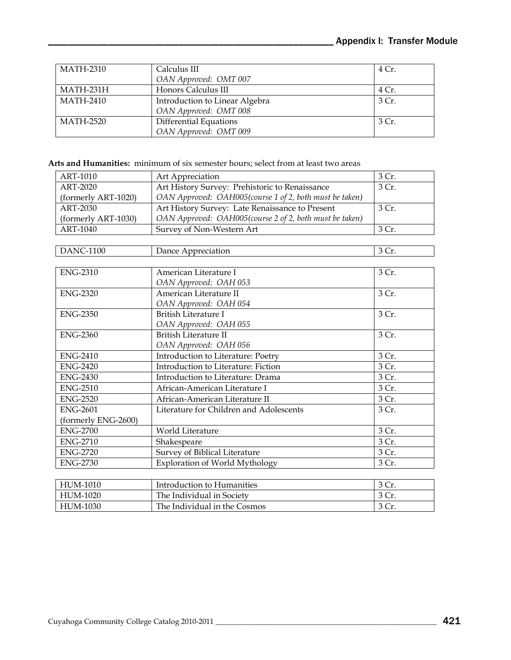| MATH-2310        | Calculus III                   | 4 Cr. |
|------------------|--------------------------------|-------|
|                  | OAN Approved: OMT 007          |       |
| MATH-231H        | Honors Calculus III            | 4 Cr. |
| <b>MATH-2410</b> | Introduction to Linear Algebra | 3 Cr. |
|                  | OAN Approved: OMT 008          |       |
| MATH-2520        | <b>Differential Equations</b>  | 3 Cr. |
|                  | OAN Approved: OMT 009          |       |

**Arts and Humanities:** minimum of six semester hours; select from at least two areas

| ART-1010            | Art Appreciation                                        | 3 Cr. |
|---------------------|---------------------------------------------------------|-------|
| <b>ART-2020</b>     | Art History Survey: Prehistoric to Renaissance          | 3 Cr. |
| (formerly ART-1020) | OAN Approved: OAH005(course 1 of 2, both must be taken) |       |
| ART-2030            | Art History Survey: Late Renaissance to Present         | 3 Cr. |
| (formerly ART-1030) | OAN Approved: OAH005(course 2 of 2, both must be taken) |       |
| ART-1040            | Survey of Non-Western Art                               | 3 Cr. |
|                     |                                                         |       |
| <b>DANC-1100</b>    | Dance Appreciation                                      | 3 Cr. |
|                     |                                                         |       |
| <b>ENG-2310</b>     | American Literature I                                   | 3 Cr. |
|                     | OAN Approved: OAH 053                                   |       |
| <b>ENG-2320</b>     | American Literature II                                  | 3 Cr. |
|                     | OAN Approved: OAH 054                                   |       |
| <b>ENG-2350</b>     | <b>British Literature I</b>                             | 3 Cr. |
|                     | OAN Approved: OAH 055                                   |       |
| <b>ENG-2360</b>     | British Literature II                                   | 3 Cr. |
|                     | OAN Approved: OAH 056                                   |       |
| <b>ENG-2410</b>     | Introduction to Literature: Poetry                      | 3 Cr. |
| <b>ENG-2420</b>     | Introduction to Literature: Fiction                     | 3 Cr. |
| <b>ENG-2430</b>     | Introduction to Literature: Drama                       | 3 Cr. |
| <b>ENG-2510</b>     | African-American Literature I                           | 3 Cr. |
| <b>ENG-2520</b>     | African-American Literature II                          | 3 Cr. |
| <b>ENG-2601</b>     | Literature for Children and Adolescents                 | 3 Cr. |
| (formerly ENG-2600) |                                                         |       |
| <b>ENG-2700</b>     | World Literature                                        | 3 Cr. |
| <b>ENG-2710</b>     | Shakespeare                                             | 3 Cr. |
| <b>ENG-2720</b>     | Survey of Biblical Literature                           | 3 Cr. |
| <b>ENG-2730</b>     | Exploration of World Mythology                          | 3 Cr. |
|                     |                                                         |       |

| HUM-1010 | Introduction to Humanities   | 3 Cr. |
|----------|------------------------------|-------|
| HUM-1020 | The Individual in Society    | 3 Cr. |
| HUM-1030 | The Individual in the Cosmos | 3 Cr. |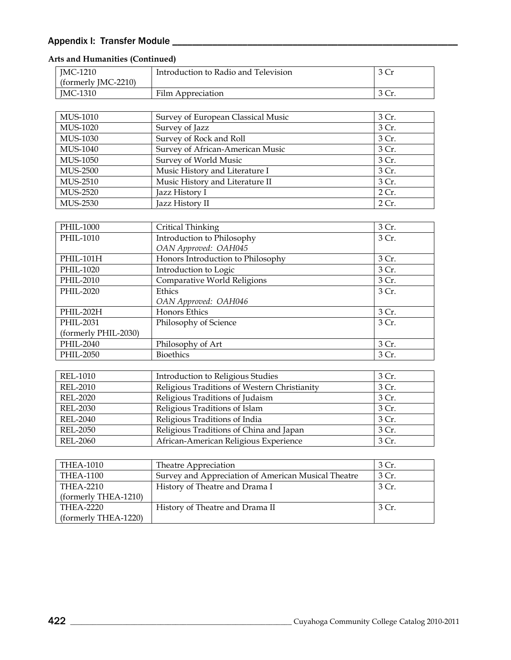| JMC-1210             | Introduction to Radio and Television | 3 Cr  |
|----------------------|--------------------------------------|-------|
| (formerly JMC-2210)  |                                      |       |
| JMC-1310             | Film Appreciation                    | 3 Cr. |
|                      |                                      |       |
| MUS-1010             | Survey of European Classical Music   | 3 Cr. |
| <b>MUS-1020</b>      | Survey of Jazz                       | 3 Cr. |
| MUS-1030             | Survey of Rock and Roll              | 3 Cr. |
| MUS-1040             | Survey of African-American Music     | 3 Cr. |
| MUS-1050             | Survey of World Music                | 3 Cr. |
| <b>MUS-2500</b>      | Music History and Literature I       | 3 Cr. |
| MUS-2510             | Music History and Literature II      | 3 Cr. |
| <b>MUS-2520</b>      | Jazz History I                       | 2 Cr. |
| MUS-2530             | Jazz History II                      | 2 Cr. |
|                      |                                      |       |
| PHIL-1000            | Critical Thinking                    | 3 Cr. |
| PHIL-1010            | Introduction to Philosophy           | 3 Cr. |
|                      | OAN Approved: OAH045                 |       |
| PHIL-101H            | Honors Introduction to Philosophy    | 3 Cr. |
| PHIL-1020            | Introduction to Logic                | 3 Cr. |
| PHIL-2010            | Comparative World Religions          | 3 Cr. |
| PHIL-2020            | Ethics                               | 3 Cr. |
|                      | OAN Approved: OAH046                 |       |
| PHIL-202H            | <b>Honors Ethics</b>                 | 3 Cr. |
| PHIL-2031            | Philosophy of Science                | 3 Cr. |
| (formerly PHIL-2030) |                                      |       |
| PHIL-2040            | Philosophy of Art                    | 3 Cr. |
| PHIL-2050            | <b>Bioethics</b>                     | 3 Cr. |

#### **Arts and Humanities (Continued)**

| <b>REL-1010</b> | <b>Introduction to Religious Studies</b>     | 3 Cr. |
|-----------------|----------------------------------------------|-------|
| <b>REL-2010</b> | Religious Traditions of Western Christianity | 3 Cr. |
| <b>REL-2020</b> | Religious Traditions of Judaism              | 3 Cr. |
| <b>REL-2030</b> | Religious Traditions of Islam                | 3 Cr. |
| <b>REL-2040</b> | Religious Traditions of India                | 3 Cr. |
| <b>REL-2050</b> | Religious Traditions of China and Japan      | 3 Cr. |
| <b>REL-2060</b> | African-American Religious Experience        | 3 Cr. |
|                 |                                              |       |

| THEA-1010            | Theatre Appreciation                                | 3 Cr.  |
|----------------------|-----------------------------------------------------|--------|
| <b>THEA-1100</b>     | Survey and Appreciation of American Musical Theatre | 3 Cr.  |
| THEA-2210            | History of Theatre and Drama I                      | 3 Cr.  |
| (formerly THEA-1210) |                                                     |        |
| THEA-2220            | History of Theatre and Drama II                     | -3 Cr. |
| (formerly THEA-1220) |                                                     |        |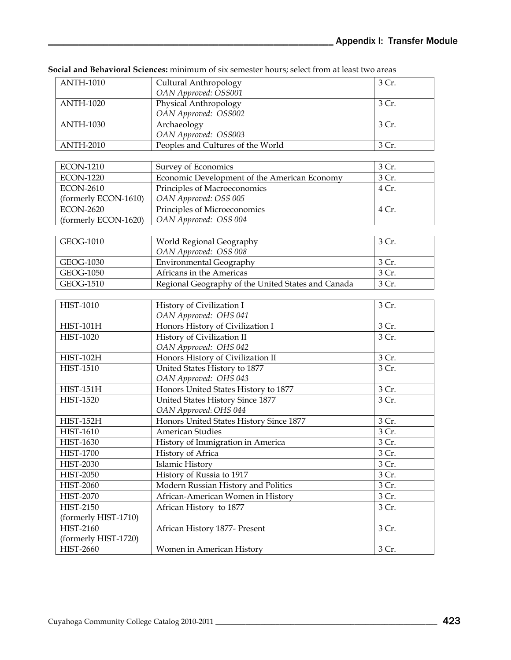| <b>ANTH-1010</b>     | Cultural Anthropology                              | 3 Cr. |
|----------------------|----------------------------------------------------|-------|
|                      | OAN Approved: OSS001                               |       |
| <b>ANTH-1020</b>     | Physical Anthropology                              | 3 Cr. |
|                      | OAN Approved: OSS002                               |       |
| <b>ANTH-1030</b>     | Archaeology                                        | 3 Cr. |
|                      | OAN Approved: OSS003                               |       |
| <b>ANTH-2010</b>     | Peoples and Cultures of the World                  | 3 Cr. |
|                      |                                                    |       |
| <b>ECON-1210</b>     | Survey of Economics                                | 3 Cr. |
| <b>ECON-1220</b>     | Economic Development of the American Economy       | 3 Cr. |
| <b>ECON-2610</b>     | Principles of Macroeconomics                       | 4 Cr. |
| (formerly ECON-1610) | OAN Approved: OSS 005                              |       |
| <b>ECON-2620</b>     | Principles of Microeconomics                       | 4 Cr. |
| (formerly ECON-1620) | OAN Approved: OSS 004                              |       |
|                      |                                                    |       |
| GEOG-1010            | World Regional Geography                           | 3 Cr. |
|                      | OAN Approved: OSS 008                              |       |
| GEOG-1030            | <b>Environmental Geography</b>                     | 3 Cr. |
| GEOG-1050            | Africans in the Americas                           | 3 Cr. |
| GEOG-1510            | Regional Geography of the United States and Canada | 3 Cr. |
|                      |                                                    |       |
| <b>HIST-1010</b>     | History of Civilization I                          | 3 Cr. |
|                      | OAN Approved: OHS 041                              |       |
| <b>HIST-101H</b>     | Honors History of Civilization I                   | 3 Cr. |
| <b>HIST-1020</b>     | History of Civilization II                         | 3 Cr. |
|                      | OAN Approved: OHS 042                              |       |
| <b>HIST-102H</b>     | Honors History of Civilization II                  | 3 Cr. |
| <b>HIST-1510</b>     | United States History to 1877                      | 3 Cr. |
|                      | OAN Approved: OHS 043                              |       |
| $HIST-151H$          | Honors United States History to 1877               | 3 Cr. |
| <b>HIST-1520</b>     | United States History Since 1877                   | 3 Cr. |
|                      | OAN Approved: OHS 044                              |       |
| <b>HIST-152H</b>     | Honors United States History Since 1877            | 3 Cr. |
| <b>HIST-1610</b>     | <b>American Studies</b>                            | 3 Cr. |
| <b>HIST-1630</b>     | History of Immigration in America                  | 3 Cr. |
| <b>HIST-1700</b>     | History of Africa                                  | 3 Cr. |
| <b>HIST-2030</b>     | Islamic History                                    | 3 Cr. |
| <b>HIST-2050</b>     | History of Russia to 1917                          | 3 Cr. |
| <b>HIST-2060</b>     | Modern Russian History and Politics                | 3 Cr. |
| <b>HIST-2070</b>     | African-American Women in History                  | 3 Cr. |
| <b>HIST-2150</b>     | African History to 1877                            | 3 Cr. |
| (formerly HIST-1710) |                                                    |       |
| HIST-2160            | African History 1877- Present                      | 3 Cr. |
| (formerly HIST-1720) |                                                    |       |
| <b>HIST-2660</b>     | Women in American History                          | 3 Cr. |

**Social and Behavioral Sciences:** minimum of six semester hours; select from at least two areas  $C<sub>u</sub>$ ltural Anthropolo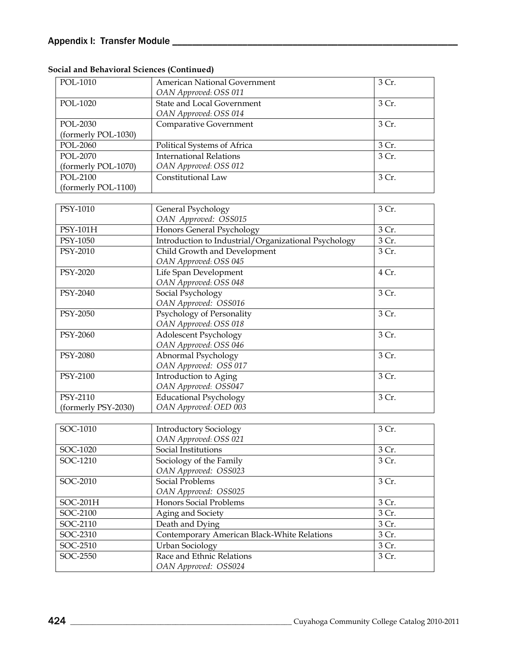| POL-1010            | <b>American National Government</b><br>OAN Approved: OSS 011 | 3 Cr.              |
|---------------------|--------------------------------------------------------------|--------------------|
| POL-1020            | <b>State and Local Government</b>                            | 3 Cr.              |
|                     | OAN Approved: OSS 014                                        |                    |
| POL-2030            | Comparative Government                                       | 3 Cr.              |
| (formerly POL-1030) |                                                              |                    |
| POL-2060            | Political Systems of Africa                                  | 3 Cr.              |
| POL-2070            | <b>International Relations</b>                               | 3 Cr.              |
| (formerly POL-1070) | OAN Approved: OSS 012                                        |                    |
| POL-2100            | Constitutional Law                                           | 3 Cr.              |
| (formerly POL-1100) |                                                              |                    |
| PSY-1010            |                                                              | 3 Cr.              |
|                     | General Psychology<br>OAN Approved: OSS015                   |                    |
| PSY-101H            | Honors General Psychology                                    | 3 Cr.              |
| PSY-1050            | Introduction to Industrial/Organizational Psychology         | $\overline{3}$ Cr. |
| PSY-2010            | Child Growth and Development                                 | 3 Cr.              |
|                     | OAN Approved: OSS 045                                        |                    |
| PSY-2020            | Life Span Development                                        | 4 Cr.              |
|                     | OAN Approved: OSS 048                                        |                    |
| PSY-2040            | Social Psychology                                            | 3 Cr.              |
|                     | OAN Approved: OSS016                                         |                    |
| PSY-2050            | Psychology of Personality                                    | 3 Cr.              |
|                     | OAN Approved: OSS 018                                        |                    |
| PSY-2060            | Adolescent Psychology                                        | 3 Cr.              |
|                     | OAN Approved: OSS 046                                        |                    |
| PSY-2080            | Abnormal Psychology                                          | 3 Cr.              |
|                     | OAN Approved: OSS 017                                        |                    |
| PSY-2100            | Introduction to Aging                                        | 3 Cr.              |
|                     | OAN Approved: OSS047                                         |                    |
| PSY-2110            | <b>Educational Psychology</b>                                | 3 Cr.              |
| (formerly PSY-2030) | OAN Approved: OED 003                                        |                    |
| SOC-1010            | <b>Introductory Sociology</b>                                | 3 Cr.              |
|                     | OAN Approved: OSS 021                                        |                    |
| SOC-1020            | Social Institutions                                          | 3 Cr.              |
| SOC-1210            | Sociology of the Family                                      | 3 Cr.              |
|                     | OAN Approved: OSS023                                         |                    |
| SOC-2010            | <b>Social Problems</b>                                       | 3 Cr.              |
|                     | OAN Approved: OSS025                                         |                    |
| SOC-201H            | Honors Social Problems                                       | 3 Cr.              |
| SOC-2100            | Aging and Society                                            | 3 Cr.              |
| SOC-2110            | Death and Dying                                              | 3 Cr.              |
| SOC-2310            | Contemporary American Black-White Relations                  | 3 Cr.              |
| SOC-2510            | Urban Sociology                                              | 3 Cr.              |
| SOC-2550            | Race and Ethnic Relations                                    | 3 Cr.              |
|                     | OAN Approved: OSS024                                         |                    |

**Social and Behavioral Sciences (Continued)**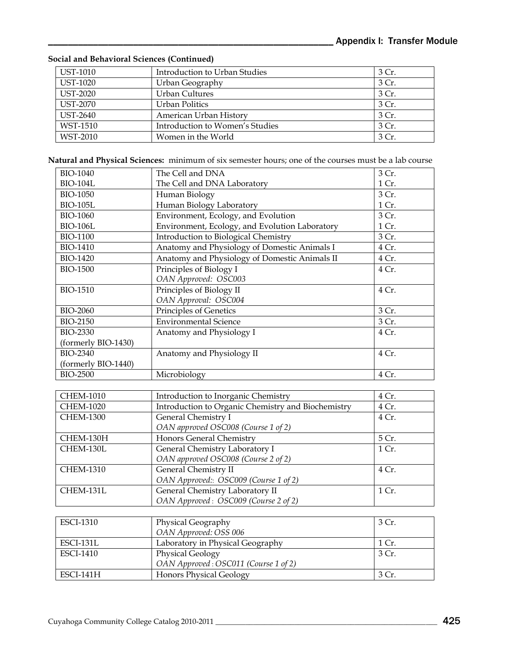#### **Social and Behavioral Sciences (Continued)**

| <b>UST-1010</b> | Introduction to Urban Studies   | 3 Cr. |
|-----------------|---------------------------------|-------|
| <b>UST-1020</b> | Urban Geography                 | 3 Cr. |
| <b>UST-2020</b> | <b>Urban Cultures</b>           | 3 Cr. |
| <b>UST-2070</b> | Urban Politics                  | 3 Cr. |
| <b>UST-2640</b> | American Urban History          | 3 Cr. |
| WST-1510        | Introduction to Women's Studies | 3 Cr. |
| WST-2010        | Women in the World              | 3 Cr. |

**Natural and Physical Sciences:** minimum of six semester hours; one of the courses must be a lab course

| <b>BIO-1040</b>     | The Cell and DNA                               | 3 Cr. |
|---------------------|------------------------------------------------|-------|
| <b>BIO-104L</b>     | The Cell and DNA Laboratory                    | 1 Cr. |
| <b>BIO-1050</b>     | Human Biology                                  | 3 Cr. |
| <b>BIO-105L</b>     | Human Biology Laboratory                       | 1 Cr. |
| <b>BIO-1060</b>     | Environment, Ecology, and Evolution            | 3 Cr. |
| <b>BIO-106L</b>     | Environment, Ecology, and Evolution Laboratory | 1 Cr. |
| <b>BIO-1100</b>     | Introduction to Biological Chemistry           | 3 Cr. |
| <b>BIO-1410</b>     | Anatomy and Physiology of Domestic Animals I   | 4Cr.  |
| <b>BIO-1420</b>     | Anatomy and Physiology of Domestic Animals II  | 4 Cr. |
| <b>BIO-1500</b>     | Principles of Biology I                        | 4 Cr. |
|                     | OAN Approved: OSC003                           |       |
| <b>BIO-1510</b>     | Principles of Biology II                       | 4 Cr. |
|                     | OAN Approval: OSC004                           |       |
| <b>BIO-2060</b>     | Principles of Genetics                         | 3 Cr. |
| <b>BIO-2150</b>     | <b>Environmental Science</b>                   | 3 Cr. |
| <b>BIO-2330</b>     | Anatomy and Physiology I                       | 4 Cr. |
| (formerly BIO-1430) |                                                |       |
| <b>BIO-2340</b>     | Anatomy and Physiology II                      | 4 Cr. |
| (formerly BIO-1440) |                                                |       |
| <b>BIO-2500</b>     | Microbiology                                   | 4 Cr. |

| <b>CHEM-1010</b> | Introduction to Inorganic Chemistry                | 4 Cr. |
|------------------|----------------------------------------------------|-------|
| <b>CHEM-1020</b> | Introduction to Organic Chemistry and Biochemistry | 4 Cr. |
| <b>CHEM-1300</b> | General Chemistry I                                | 4 Cr. |
|                  | OAN approved OSC008 (Course 1 of 2)                |       |
| CHEM-130H        | Honors General Chemistry                           | 5 Cr. |
| CHEM-130L        | General Chemistry Laboratory I                     | 1 Cr. |
|                  | OAN approved OSC008 (Course 2 of 2)                |       |
| <b>CHEM-1310</b> | General Chemistry II                               | 4 Cr. |
|                  | OAN Approved: OSC009 (Course 1 of 2)               |       |
| CHEM-131L        | General Chemistry Laboratory II                    | 1 Cr. |
|                  | OAN Approved: OSC009 (Course 2 of 2)               |       |

| <b>ESCI-1310</b> | Physical Geography                   | 3 Cr. |
|------------------|--------------------------------------|-------|
|                  | OAN Approved: OSS 006                |       |
| ESCI-131L        | Laboratory in Physical Geography     | 1 Cr. |
| <b>ESCI-1410</b> | <b>Physical Geology</b>              | 3 Cr. |
|                  | OAN Approved: OSC011 (Course 1 of 2) |       |
| ESCI-141H        | <b>Honors Physical Geology</b>       | 3 Cr. |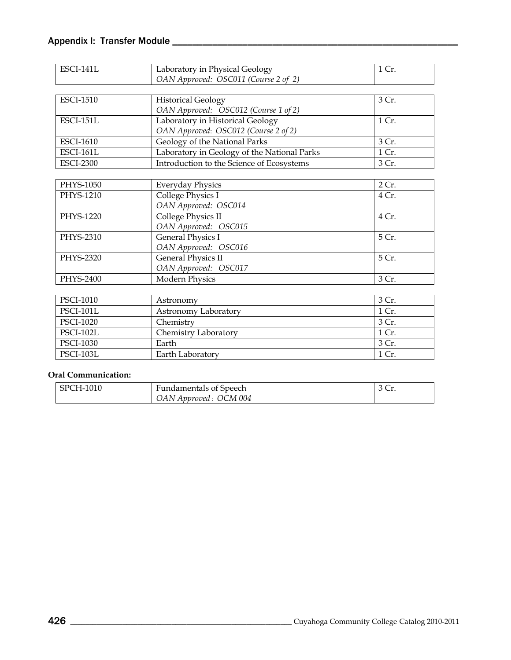| <b>ESCI-141L</b> | Laboratory in Physical Geology              | 1 Cr. |
|------------------|---------------------------------------------|-------|
|                  | OAN Approved: OSC011 (Course 2 of 2)        |       |
|                  |                                             |       |
| <b>ESCI-1510</b> | <b>Historical Geology</b>                   | 3 Cr. |
|                  | OAN Approved: OSC012 (Course 1 of 2)        |       |
| <b>ESCI-151L</b> | Laboratory in Historical Geology            | 1 Cr. |
|                  | OAN Approved: OSC012 (Course 2 of 2)        |       |
| <b>ESCI-1610</b> | Geology of the National Parks               | 3 Cr. |
| ESCI-161L        | Laboratory in Geology of the National Parks | 1 Cr. |
| <b>ESCI-2300</b> | Introduction to the Science of Ecosystems   | 3 Cr. |
|                  |                                             |       |
| PHYS-1050        | <b>Everyday Physics</b>                     | 2 Cr. |
| PHYS-1210        | College Physics I                           | 4 Cr. |
|                  | OAN Approved: OSC014                        |       |
| PHYS-1220        | College Physics II                          | 4 Cr. |
|                  | OAN Approved: OSC015                        |       |
| PHYS-2310        | General Physics I                           | 5 Cr. |
|                  | OAN Approved: OSC016                        |       |
| PHYS-2320        | <b>General Physics II</b>                   | 5 Cr. |
|                  | OAN Approved: OSC017                        |       |
| PHYS-2400        | Modern Physics                              | 3 Cr. |
|                  |                                             |       |
| PSCI-1010        | Astronomy                                   | 3 Cr. |
| <b>PSCI-101L</b> | Astronomy Laboratory                        | 1 Cr. |
| PSCI-1020        | Chemistry                                   | 3 Cr. |

| PSCI-1020        | Chemistry            | 3 C<br>u. |
|------------------|----------------------|-----------|
| PSCI-102L        | Chemistry Laboratory | 1 Cr.     |
| <b>PSCI-1030</b> | Earth                | $3$ Cr.   |
| PSCI-103L        | Earth Laboratory     | 1 Cr.     |

### **Oral Communication:**

| <b>SPCH-1010</b> | <b>Fundamentals of Speech</b> | u. |
|------------------|-------------------------------|----|
|                  | OAN Approved : OCM 004        |    |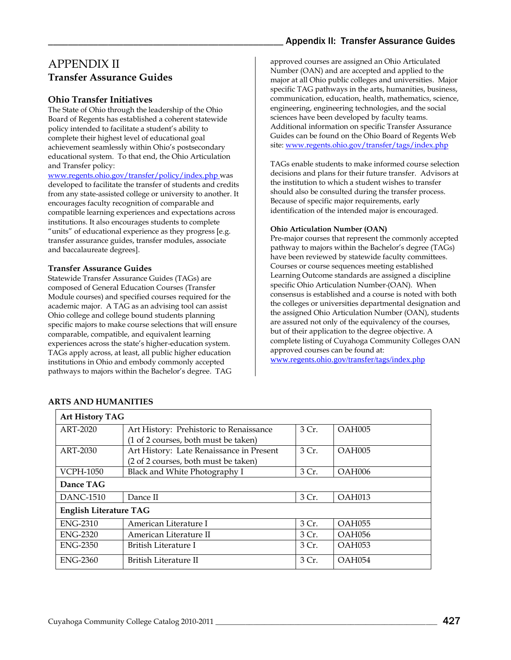## <span id="page-8-0"></span>APPENDIX II **Transfer Assurance Guides**

#### **Ohio Transfer Initiatives**

The State of Ohio through the leadership of the Ohio Board of Regents has established a coherent statewide policy intended to facilitate a student's ability to complete their highest level of educational goal achievement seamlessly within Ohio's postsecondary educational system. To that end, the Ohio Articulation and Transfer policy:

[www.regents.ohio.gov/transfer/policy/index.php w](http://www.regents.ohio.gov/transfer/policy/index.php)as developed to facilitate the transfer of students and credits from any state-assisted college or university to another. It encourages faculty recognition of comparable and compatible learning experiences and expectations across institutions. It also encourages students to complete "units" of educational experience as they progress [e.g. transfer assurance guides, transfer modules, associate and baccalaureate degrees].

#### **Transfer Assurance Guides**

Statewide Transfer Assurance Guides (TAGs) are composed of General Education Courses (Transfer Module courses) and specified courses required for the academic major. A TAG as an advising tool can assist Ohio college and college bound students planning specific majors to make course selections that will ensure comparable, compatible, and equivalent learning experiences across the state's higher-education system. TAGs apply across, at least, all public higher education institutions in Ohio and embody commonly accepted pathways to majors within the Bachelor's degree. TAG

## Appendix II: Transfer Assurance Guides

approved courses are assigned an Ohio Articulated Number (OAN) and are accepted and applied to the major at all Ohio public colleges and universities. Major specific TAG pathways in the arts, humanities, business, communication, education, health, mathematics, science, engineering, engineering technologies, and the social sciences have been developed by faculty teams. Additional information on specific Transfer Assurance Guides can be found on the Ohio Board of Regents Web site: [www.regents.ohio.gov/transfer/tags/index.php](http://www.regents.ohio.gov/transfer/tags/index.php)

TAGs enable students to make informed course selection decisions and plans for their future transfer. Advisors at the institution to which a student wishes to transfer should also be consulted during the transfer process. Because of specific major requirements, early identification of the intended major is encouraged.

#### **Ohio Articulation Number (OAN)**

Pre-major courses that represent the commonly accepted pathway to majors within the Bachelor's degree (TAGs) have been reviewed by statewide faculty committees. Courses or course sequences meeting established Learning Outcome standards are assigned a discipline specific Ohio Articulation Number (OAN). When consensus is established and a course is noted with both the colleges or universities departmental designation and the assigned Ohio Articulation Number (OAN), students are assured not only of the equivalency of the courses, but of their application to the degree objective. A complete listing of Cuyahoga Community Colleges OAN approved courses can be found at:

[www.regents.ohio.gov/transfer/tags/index.php](http://www.regents.ohio.gov/transfer/tags/index.php)

| <b>Art History TAG</b>        |                                          |       |               |  |
|-------------------------------|------------------------------------------|-------|---------------|--|
| ART-2020                      | Art History: Prehistoric to Renaissance  | 3 Cr. | OAH005        |  |
|                               | (1 of 2 courses, both must be taken)     |       |               |  |
| <b>ART-2030</b>               | Art History: Late Renaissance in Present | 3 Cr. | OAH005        |  |
|                               | (2 of 2 courses, both must be taken)     |       |               |  |
| <b>VCPH-1050</b>              | Black and White Photography I            | 3 Cr. | OAH006        |  |
| Dance TAG                     |                                          |       |               |  |
| DANC-1510                     | Dance II                                 | 3 Cr. | OAH013        |  |
| <b>English Literature TAG</b> |                                          |       |               |  |
| <b>ENG-2310</b>               | American Literature I                    | 3Cr.  | <b>OAH055</b> |  |
| <b>ENG-2320</b>               | American Literature II                   | 3Cr.  | <b>OAH056</b> |  |
| <b>ENG-2350</b>               | British Literature I                     | 3 Cr. | <b>OAH053</b> |  |
| <b>ENG-2360</b>               | British Literature II                    | 3 Cr. | OAH054        |  |

#### **ARTS AND HUMANITIES**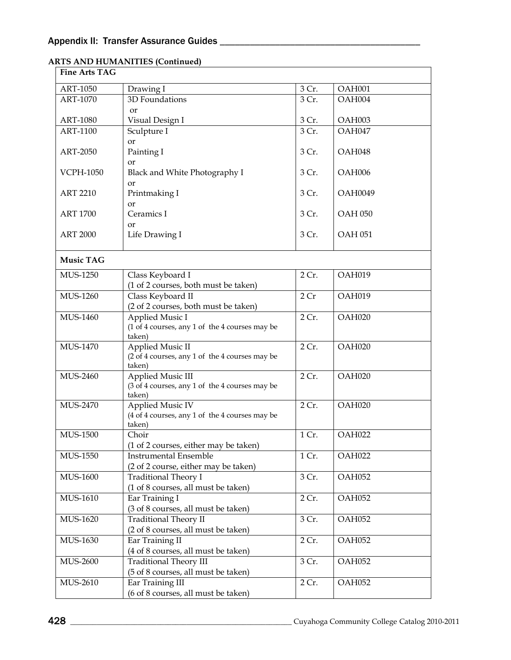| <b>Fine Arts TAG</b> |                                                          |       |                |
|----------------------|----------------------------------------------------------|-------|----------------|
| ART-1050             | Drawing I                                                | 3 Cr. | OAH001         |
| ART-1070             | 3D Foundations                                           | 3 Cr. | OAH004         |
|                      | <b>or</b>                                                |       |                |
| <b>ART-1080</b>      | Visual Design I                                          | 3 Cr. | OAH003         |
| ART-1100             | Sculpture I                                              | 3 Cr. | OAH047         |
|                      | or                                                       |       |                |
| ART-2050             | Painting I<br>or                                         | 3 Cr. | OAH048         |
| <b>VCPH-1050</b>     | Black and White Photography I                            | 3 Cr. | OAH006         |
|                      | or                                                       |       |                |
| <b>ART 2210</b>      | Printmaking I                                            | 3 Cr. | <b>OAH0049</b> |
|                      | <b>or</b>                                                |       |                |
| <b>ART 1700</b>      | Ceramics I                                               | 3 Cr. | <b>OAH 050</b> |
|                      | or                                                       |       |                |
| <b>ART 2000</b>      | Life Drawing I                                           | 3 Cr. | <b>OAH 051</b> |
| <b>Music TAG</b>     |                                                          |       |                |
|                      |                                                          |       |                |
| MUS-1250             | Class Keyboard I<br>(1 of 2 courses, both must be taken) | 2 Cr. | OAH019         |
| MUS-1260             | Class Keyboard II                                        | 2Cr   | OAH019         |
|                      | (2 of 2 courses, both must be taken)                     |       |                |
| MUS-1460             | Applied Music I                                          | 2 Cr. | OAH020         |
|                      | (1 of 4 courses, any 1 of the 4 courses may be           |       |                |
|                      | taken)                                                   |       |                |
| MUS-1470             | Applied Music II                                         | 2 Cr. | OAH020         |
|                      | (2 of 4 courses, any 1 of the 4 courses may be<br>taken) |       |                |
| <b>MUS-2460</b>      | Applied Music III                                        | 2 Cr. | OAH020         |
|                      | (3 of 4 courses, any 1 of the 4 courses may be           |       |                |
|                      | taken)                                                   |       |                |
| <b>MUS-2470</b>      | Applied Music IV                                         | 2 Cr. | OAH020         |
|                      | (4 of 4 courses, any 1 of the 4 courses may be           |       |                |
| <b>MUS-1500</b>      | taken)<br>Choir                                          | 1 Cr. | OAH022         |
|                      | (1 of 2 courses, either may be taken)                    |       |                |
| MUS-1550             | <b>Instrumental Ensemble</b>                             | 1 Cr. | OAH022         |
|                      | (2 of 2 course, either may be taken)                     |       |                |
| MUS-1600             | <b>Traditional Theory I</b>                              | 3 Cr. | OAH052         |
|                      | (1 of 8 courses, all must be taken)                      |       |                |
| MUS-1610             | Ear Training I                                           | 2 Cr. | OAH052         |
|                      | (3 of 8 courses, all must be taken)                      |       |                |
| MUS-1620             | Traditional Theory II                                    | 3 Cr. | OAH052         |
|                      | (2 of 8 courses, all must be taken)                      |       |                |
| MUS-1630             | Ear Training II<br>(4 of 8 courses, all must be taken)   | 2 Cr. | OAH052         |
| MUS-2600             | <b>Traditional Theory III</b>                            | 3 Cr. | OAH052         |
|                      | (5 of 8 courses, all must be taken)                      |       |                |
| MUS-2610             | Ear Training III                                         | 2 Cr. | OAH052         |
|                      | (6 of 8 courses, all must be taken)                      |       |                |

#### **ARTS AND HUMANITIES (Continued)**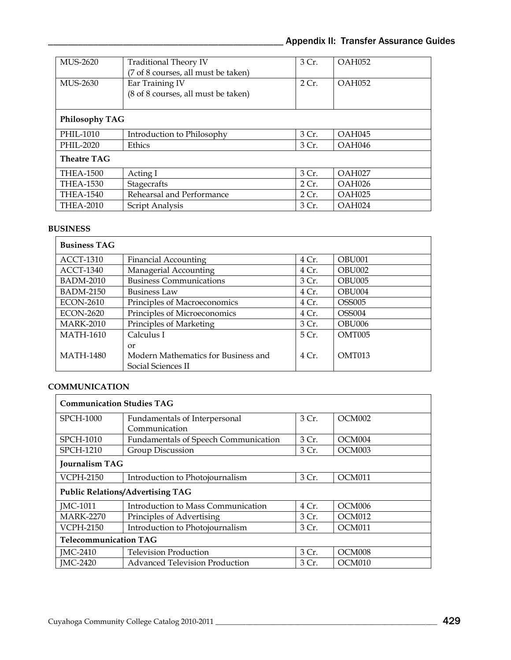| MUS-2620           | Traditional Theory IV<br>(7 of 8 courses, all must be taken) | 3 Cr. | OAH052        |  |
|--------------------|--------------------------------------------------------------|-------|---------------|--|
| MUS-2630           | Ear Training IV<br>(8 of 8 courses, all must be taken)       | 2Cr.  | OAH052        |  |
| Philosophy TAG     |                                                              |       |               |  |
| PHIL-1010          | Introduction to Philosophy                                   | 3 Cr. | OAH045        |  |
| PHIL-2020          | Ethics                                                       | 3 Cr. | <b>OAH046</b> |  |
| <b>Theatre TAG</b> |                                                              |       |               |  |
| <b>THEA-1500</b>   | Acting I                                                     | 3 Cr. | OAH027        |  |
| <b>THEA-1530</b>   | Stagecrafts                                                  | 2Cr.  | OAH026        |  |
| <b>THEA-1540</b>   | Rehearsal and Performance                                    | 2Cr.  | OAH025        |  |
| <b>THEA-2010</b>   | Script Analysis                                              | 3 Cr. | OAH024        |  |

#### **BUSINESS**

| <b>Business TAG</b> |                                     |       |               |
|---------------------|-------------------------------------|-------|---------------|
| <b>ACCT-1310</b>    | <b>Financial Accounting</b>         | 4 Cr. | OBU001        |
| <b>ACCT-1340</b>    | Managerial Accounting               | 4 Cr. | OBU002        |
| <b>BADM-2010</b>    | <b>Business Communications</b>      | 3 Cr. | OBU005        |
| <b>BADM-2150</b>    | <b>Business Law</b>                 | 4 Cr. | OBU004        |
| <b>ECON-2610</b>    | Principles of Macroeconomics        | 4 Cr. | <b>OSS005</b> |
| <b>ECON-2620</b>    | Principles of Microeconomics        | 4 Cr. | <b>OSS004</b> |
| <b>MARK-2010</b>    | Principles of Marketing             | 3 Cr. | OBU006        |
| <b>MATH-1610</b>    | Calculus I                          | 5 Cr. | OMT005        |
|                     | $\alpha$                            |       |               |
| <b>MATH-1480</b>    | Modern Mathematics for Business and | 4 Cr. | OMT013        |
|                     | Social Sciences II                  |       |               |

#### **COMMUNICATION**

| <b>Communication Studies TAG</b>        |                                             |       |                    |  |
|-----------------------------------------|---------------------------------------------|-------|--------------------|--|
| <b>SPCH-1000</b>                        | Fundamentals of Interpersonal               | 3 Cr. | OCM002             |  |
|                                         | Communication                               |       |                    |  |
| <b>SPCH-1010</b>                        | <b>Fundamentals of Speech Communication</b> | 3 Cr. | OCM <sub>004</sub> |  |
| <b>SPCH-1210</b>                        | Group Discussion                            | 3 Cr. | OCM <sub>003</sub> |  |
| <b>Journalism TAG</b>                   |                                             |       |                    |  |
| VCPH-2150                               | Introduction to Photojournalism             | 3 Cr. | OCM <sub>011</sub> |  |
| <b>Public Relations/Advertising TAG</b> |                                             |       |                    |  |
| JMC-1011                                | Introduction to Mass Communication          | 4 Cr. | OCM <sub>006</sub> |  |
| <b>MARK-2270</b>                        | Principles of Advertising                   | 3 Cr. | OCM012             |  |
| <b>VCPH-2150</b>                        | Introduction to Photojournalism             | 3 Cr. | OCM011             |  |
| <b>Telecommunication TAG</b>            |                                             |       |                    |  |
| JMC-2410                                | <b>Television Production</b>                | 3 Cr. | OCM <sub>008</sub> |  |
| <b>IMC-2420</b>                         | <b>Advanced Television Production</b>       | 3 Cr. | OCM <sub>010</sub> |  |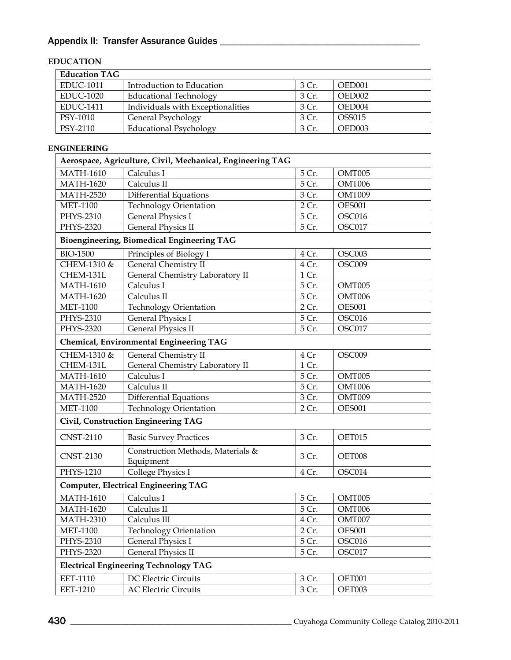# Appendix II: Transfer Assurance Guides \_\_\_\_\_\_\_\_\_\_\_\_\_\_\_\_\_\_\_\_\_\_\_\_\_\_\_\_\_\_\_\_\_\_\_\_\_\_\_\_

## **EDUCATION**

| <b>Education TAG</b> |                                   |       |                    |  |
|----------------------|-----------------------------------|-------|--------------------|--|
| <b>EDUC-1011</b>     | Introduction to Education         | 3 Cr. | OED001             |  |
| <b>EDUC-1020</b>     | <b>Educational Technology</b>     | 3 Cr. | OED002             |  |
| <b>EDUC-1411</b>     | Individuals with Exceptionalities | 3Cr   | OED <sub>004</sub> |  |
| PSY-1010             | General Psychology                | 3 Cr. | OSS015             |  |
| PSY-2110             | <b>Educational Psychology</b>     | 3 Cr. | OED003             |  |

| <b>ENGINEERING</b> |                                                            |       |               |
|--------------------|------------------------------------------------------------|-------|---------------|
|                    | Aerospace, Agriculture, Civil, Mechanical, Engineering TAG |       |               |
| <b>MATH-1610</b>   | Calculus I                                                 | 5 Cr. | OMT005        |
| <b>MATH-1620</b>   | Calculus II                                                | 5 Cr. | OMT006        |
| <b>MATH-2520</b>   | <b>Differential Equations</b>                              | 3 Cr. | OMT009        |
| <b>MET-1100</b>    | Technology Orientation                                     | 2 Cr. | <b>OES001</b> |
| PHYS-2310          | General Physics I                                          | 5 Cr. | OSC016        |
| PHYS-2320          | <b>General Physics II</b>                                  | 5 Cr. | OSC017        |
|                    | Bioengineering, Biomedical Engineering TAG                 |       |               |
| <b>BIO-1500</b>    | Principles of Biology I                                    | 4 Cr. | OSC003        |
| CHEM-1310 &        | General Chemistry II                                       | 4 Cr. | OSC009        |
| CHEM-131L          | General Chemistry Laboratory II                            | 1 Cr. |               |
| <b>MATH-1610</b>   | Calculus I                                                 | 5 Cr. | OMT005        |
| <b>MATH-1620</b>   | Calculus II                                                | 5 Cr. | OMT006        |
| <b>MET-1100</b>    | <b>Technology Orientation</b>                              | 2 Cr. | <b>OES001</b> |
| PHYS-2310          | <b>General Physics I</b>                                   | 5 Cr. | OSC016        |
| PHYS-2320          | <b>General Physics II</b>                                  | 5 Cr. | OSC017        |
|                    | Chemical, Environmental Engineering TAG                    |       |               |
| CHEM-1310 &        | <b>General Chemistry II</b>                                | 4 Cr  | OSC009        |
| CHEM-131L          | General Chemistry Laboratory II                            | 1 Cr. |               |
| <b>MATH-1610</b>   | Calculus I                                                 | 5 Cr. | OMT005        |
| <b>MATH-1620</b>   | Calculus II                                                | 5 Cr. | OMT006        |
| <b>MATH-2520</b>   | <b>Differential Equations</b>                              | 3 Cr. | OMT009        |
| <b>MET-1100</b>    | <b>Technology Orientation</b>                              | 2 Cr. | <b>OES001</b> |
|                    | Civil, Construction Engineering TAG                        |       |               |
| <b>CNST-2110</b>   | <b>Basic Survey Practices</b>                              | 3 Cr. | OET015        |
| <b>CNST-2130</b>   | Construction Methods, Materials &<br>Equipment             | 3 Cr. | OET008        |
| PHYS-1210          | College Physics I                                          | 4 Cr. | OSC014        |
|                    | <b>Computer, Electrical Engineering TAG</b>                |       |               |
| <b>MATH-1610</b>   | Calculus I                                                 | 5 Cr. | OMT005        |
| <b>MATH-1620</b>   | Calculus II                                                | 5 Cr. | OMT006        |
| <b>MATH-2310</b>   | Calculus III                                               | 4 Cr. | OMT007        |
| <b>MET-1100</b>    | <b>Technology Orientation</b>                              | 2 Cr. | <b>OES001</b> |
| PHYS-2310          | <b>General Physics I</b>                                   | 5 Cr. | OSC016        |
| PHYS-2320          | General Physics II                                         | 5 Cr. | OSC017        |
|                    | <b>Electrical Engineering Technology TAG</b>               |       |               |
| <b>EET-1110</b>    | DC Electric Circuits                                       | 3 Cr. | OET001        |
| EET-1210           | <b>AC Electric Circuits</b>                                | 3 Cr. | OET003        |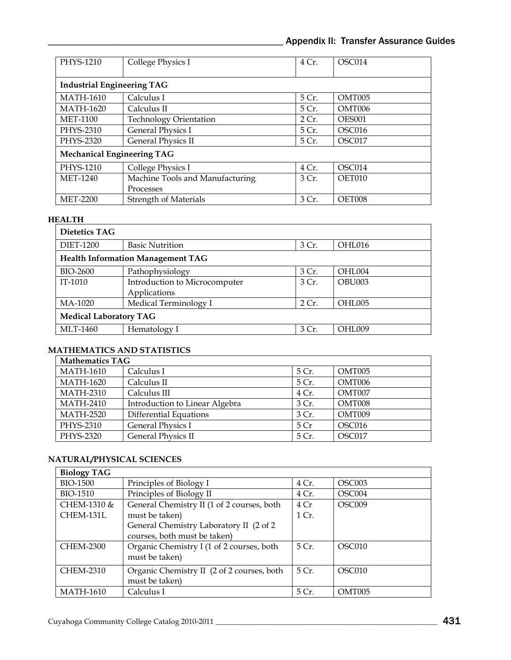| PHYS-1210                         | College Physics I                 | 4 Cr. | OSC014        |  |  |  |
|-----------------------------------|-----------------------------------|-------|---------------|--|--|--|
|                                   | <b>Industrial Engineering TAG</b> |       |               |  |  |  |
| <b>MATH-1610</b>                  | Calculus I                        | 5 Cr. | OMT005        |  |  |  |
| <b>MATH-1620</b>                  | Calculus II                       | 5 Cr. | OMT006        |  |  |  |
| <b>MET-1100</b>                   | <b>Technology Orientation</b>     | 2Cr.  | <b>OES001</b> |  |  |  |
| PHYS-2310                         | <b>General Physics I</b>          | 5 Cr. | OSC016        |  |  |  |
| PHYS-2320                         | <b>General Physics II</b>         | 5 Cr. | OSC017        |  |  |  |
| <b>Mechanical Engineering TAG</b> |                                   |       |               |  |  |  |
| PHYS-1210                         | College Physics I                 | 4 Cr. | OSC014        |  |  |  |
| MET-1240                          | Machine Tools and Manufacturing   | 3 Cr. | OET010        |  |  |  |
|                                   | Processes                         |       |               |  |  |  |
| <b>MET-2200</b>                   | <b>Strength of Materials</b>      | 3 Cr. | OET008        |  |  |  |

#### **HEALTH**

| Dietetics TAG                            |                               |       |        |  |
|------------------------------------------|-------------------------------|-------|--------|--|
| <b>DIET-1200</b>                         | <b>Basic Nutrition</b>        | 3 Cr. | OHL016 |  |
| <b>Health Information Management TAG</b> |                               |       |        |  |
| <b>BIO-2600</b>                          | Pathophysiology               | 3 Cr. | OHL004 |  |
| IT-1010                                  | Introduction to Microcomputer | 3 Cr. | OBU003 |  |
|                                          | Applications                  |       |        |  |
| MA-1020                                  | Medical Terminology I         | 2 Cr. | OHL005 |  |
| <b>Medical Laboratory TAG</b>            |                               |       |        |  |
| MLT-1460                                 | Hematology I                  | 3 Cr. | OHL009 |  |

#### **MATHEMATICS AND STATISTICS**

| <b>Mathematics TAG</b> |                                |                 |        |  |
|------------------------|--------------------------------|-----------------|--------|--|
| <b>MATH-1610</b>       | Calculus I                     | 5 Cr.           | OMT005 |  |
| <b>MATH-1620</b>       | Calculus II                    | 5 Cr.           | OMT006 |  |
| <b>MATH-2310</b>       | Calculus III                   | 4 Cr.           | OMT007 |  |
| <b>MATH-2410</b>       | Introduction to Linear Algebra | 3 Cr.           | OMT008 |  |
| <b>MATH-2520</b>       | Differential Equations         | 3 Cr.           | OMT009 |  |
| PHYS-2310              | <b>General Physics I</b>       | 5 <sub>Cr</sub> | OSC016 |  |
| PHYS-2320              | <b>General Physics II</b>      | 5 Cr.           | OSC017 |  |

## **NATURAL/PHYSICAL SCIENCES**

| <b>Biology TAG</b> |                                            |       |                    |
|--------------------|--------------------------------------------|-------|--------------------|
| BIO-1500           | Principles of Biology I                    | 4 Cr. | OSC003             |
| BIO-1510           | Principles of Biology II                   | 4 Cr. | OSC <sub>004</sub> |
| CHEM-1310 &        | General Chemistry II (1 of 2 courses, both | 4Cr   | OSC <sub>009</sub> |
| CHEM-131L          | must be taken)                             | 1 Cr. |                    |
|                    | General Chemistry Laboratory II (2 of 2)   |       |                    |
|                    | courses, both must be taken)               |       |                    |
| <b>CHEM-2300</b>   | Organic Chemistry I (1 of 2 courses, both  | 5 Cr. | OSC010             |
|                    | must be taken)                             |       |                    |
| <b>CHEM-2310</b>   | Organic Chemistry II (2 of 2 courses, both | 5 Cr. | OSC010             |
|                    | must be taken)                             |       |                    |
| <b>MATH-1610</b>   | Calculus I                                 | 5 Cr. | OMT <sub>005</sub> |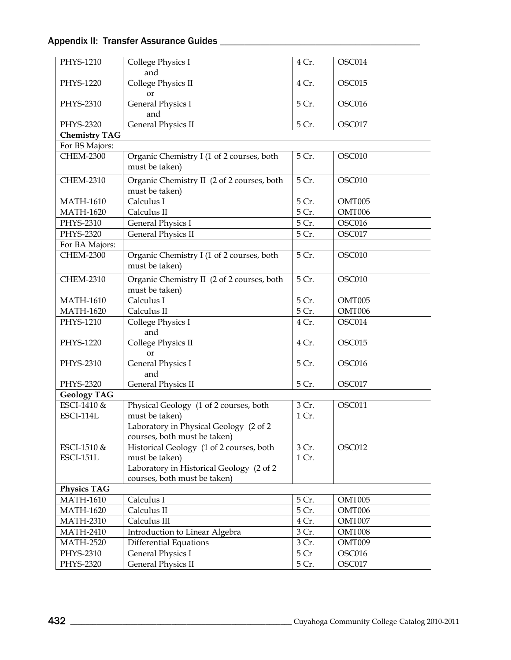## Appendix II: Transfer Assurance Guides \_\_\_\_\_\_\_\_\_\_\_\_\_\_\_\_\_\_\_\_\_\_\_\_\_\_\_\_\_\_\_\_\_\_\_\_\_\_\_\_

| PHYS-1210            | College Physics I                                            | 4 Cr. | OSC014 |
|----------------------|--------------------------------------------------------------|-------|--------|
| PHYS-1220            | and<br>College Physics II                                    | 4 Cr. | OSC015 |
|                      | <b>or</b>                                                    |       |        |
| PHYS-2310            | General Physics I<br>and                                     | 5 Cr. | OSC016 |
| PHYS-2320            | <b>General Physics II</b>                                    | 5 Cr. | OSC017 |
| <b>Chemistry TAG</b> |                                                              |       |        |
| For BS Majors:       |                                                              |       |        |
| <b>CHEM-2300</b>     | Organic Chemistry I (1 of 2 courses, both<br>must be taken)  | 5 Cr. | OSC010 |
| <b>CHEM-2310</b>     | Organic Chemistry II (2 of 2 courses, both                   | 5 Cr. | OSC010 |
|                      | must be taken)                                               |       |        |
| <b>MATH-1610</b>     | Calculus I                                                   | 5 Cr. | OMT005 |
| <b>MATH-1620</b>     | Calculus II                                                  | 5 Cr. | OMT006 |
| PHYS-2310            | <b>General Physics I</b>                                     | 5 Cr. | OSC016 |
| PHYS-2320            | <b>General Physics II</b>                                    | 5 Cr. | OSC017 |
| For BA Majors:       |                                                              |       |        |
| <b>CHEM-2300</b>     | Organic Chemistry I (1 of 2 courses, both<br>must be taken)  | 5 Cr. | OSC010 |
| <b>CHEM-2310</b>     | Organic Chemistry II (2 of 2 courses, both<br>must be taken) | 5 Cr. | OSC010 |
| <b>MATH-1610</b>     | Calculus I                                                   | 5 Cr. | OMT005 |
| <b>MATH-1620</b>     | Calculus II                                                  | 5 Cr. | OMT006 |
| PHYS-1210            | College Physics I                                            | 4 Cr. | OSC014 |
| PHYS-1220            | and<br>College Physics II                                    | 4 Cr. | OSC015 |
|                      | or                                                           |       |        |
| PHYS-2310            | General Physics I<br>and                                     | 5 Cr. | OSC016 |
| PHYS-2320            | <b>General Physics II</b>                                    | 5 Cr. | OSC017 |
| <b>Geology TAG</b>   |                                                              |       |        |
| ESCI-1410 &          | Physical Geology (1 of 2 courses, both                       | 3 Cr. | OSC011 |
| ESCI-114L            | must be taken)                                               | 1 Cr. |        |
|                      | Laboratory in Physical Geology (2 of 2                       |       |        |
|                      | courses, both must be taken)                                 |       |        |
| ESCI-1510 &          | Historical Geology (1 of 2 courses, both                     | 3 Cr. | OSC012 |
| <b>ESCI-151L</b>     | must be taken)                                               | 1 Cr. |        |
|                      | Laboratory in Historical Geology (2 of 2                     |       |        |
|                      | courses, both must be taken)                                 |       |        |
| <b>Physics TAG</b>   |                                                              |       |        |
| <b>MATH-1610</b>     | Calculus I                                                   | 5 Cr. | OMT005 |
| <b>MATH-1620</b>     | Calculus II                                                  | 5 Cr. | OMT006 |
| <b>MATH-2310</b>     | Calculus III                                                 | 4 Cr. | OMT007 |
| <b>MATH-2410</b>     | Introduction to Linear Algebra                               | 3 Cr. | OMT008 |
| <b>MATH-2520</b>     | Differential Equations                                       | 3 Cr. | OMT009 |
| PHYS-2310            | <b>General Physics I</b>                                     | 5 Cr  | OSC016 |
| PHYS-2320            | <b>General Physics II</b>                                    | 5 Cr. | OSC017 |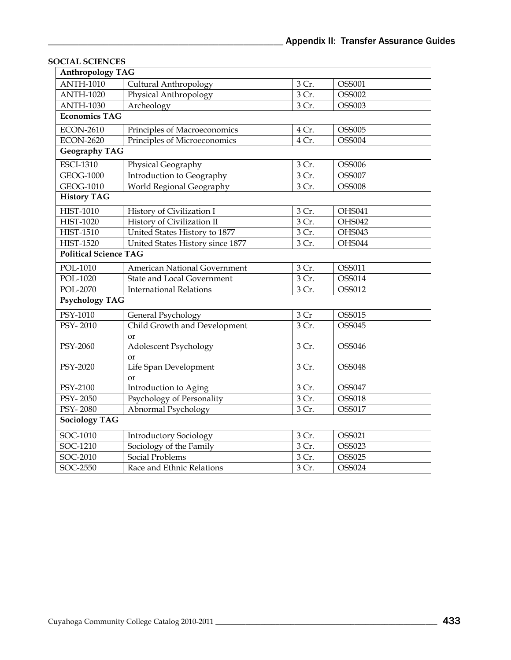| <b>Anthropology TAG</b>      |                                   |                    |               |
|------------------------------|-----------------------------------|--------------------|---------------|
| <b>ANTH-1010</b>             | Cultural Anthropology             | 3 Cr.              | OSS001        |
| <b>ANTH-1020</b>             | Physical Anthropology             | 3 Cr.              | <b>OSS002</b> |
| <b>ANTH-1030</b>             | Archeology                        | 3 Cr.              | <b>OSS003</b> |
| <b>Economics TAG</b>         |                                   |                    |               |
| <b>ECON-2610</b>             | Principles of Macroeconomics      | 4 Cr.              | <b>OSS005</b> |
| <b>ECON-2620</b>             | Principles of Microeconomics      | 4 Cr.              | <b>OSS004</b> |
| <b>Geography TAG</b>         |                                   |                    |               |
| <b>ESCI-1310</b>             | Physical Geography                | 3 Cr.              | <b>OSS006</b> |
| GEOG-1000                    | Introduction to Geography         | 3 Cr.              | <b>OSS007</b> |
| GEOG-1010                    | World Regional Geography          | 3 Cr.              | <b>OSS008</b> |
| <b>History TAG</b>           |                                   |                    |               |
| <b>HIST-1010</b>             | History of Civilization I         | 3 Cr.              | OHS041        |
| <b>HIST-1020</b>             | History of Civilization II        | 3 Cr.              | OHS042        |
| <b>HIST-1510</b>             | United States History to 1877     | 3 Cr.              | OHS043        |
| <b>HIST-1520</b>             | United States History since 1877  | 3 Cr.              | OHS044        |
| <b>Political Science TAG</b> |                                   |                    |               |
| POL-1010                     | American National Government      | 3 Cr.              | OSS011        |
| POL-1020                     | <b>State and Local Government</b> | 3 Cr.              | OSS014        |
| POL-2070                     | <b>International Relations</b>    | 3 Cr.              | OSS012        |
| <b>Psychology TAG</b>        |                                   |                    |               |
| PSY-1010                     | General Psychology                | 3 Cr               | OSS015        |
| PSY-2010                     | Child Growth and Development      | $\overline{3}$ Cr. | OSS045        |
|                              | <sub>or</sub>                     |                    |               |
| PSY-2060                     | Adolescent Psychology             | 3 Cr.              | <b>OSS046</b> |
|                              | <sub>or</sub>                     |                    |               |
| PSY-2020                     | Life Span Development             | 3 Cr.              | <b>OSS048</b> |
|                              | <sub>or</sub>                     |                    |               |
| PSY-2100                     | Introduction to Aging             | 3 Cr.              | <b>OSS047</b> |
| PSY-2050                     | Psychology of Personality         | 3 Cr.              | <b>OSS018</b> |
| PSY-2080                     | Abnormal Psychology               | 3 Cr.              | OSS017        |
| <b>Sociology TAG</b>         |                                   |                    |               |
| SOC-1010                     | <b>Introductory Sociology</b>     | 3 Cr.              | OSS021        |
| SOC-1210                     | Sociology of the Family           | 3 Cr.              | <b>OSS023</b> |
| SOC-2010                     | Social Problems                   | 3 Cr.              | <b>OSS025</b> |
| SOC-2550                     | Race and Ethnic Relations         | 3 Cr.              | <b>OSS024</b> |

## **SOCIAL SCIENCES**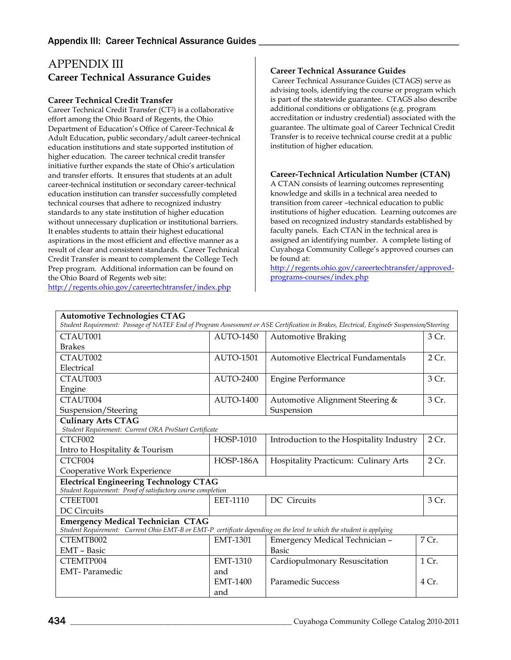## APPENDIX III **Career Technical Assurance Guides**

#### **Career Technical Credit Transfer**

Career Technical Credit Transfer (CT2) is a collaborative effort among the Ohio Board of Regents, the Ohio Department of Education's Office of Career-Technical & Adult Education, public secondary/adult career-technical education institutions and state supported institution of higher education. The career technical credit transfer initiative further expands the state of Ohio's articulation and transfer efforts. It ensures that students at an adult career-technical institution or secondary career-technical education institution can transfer successfully completed technical courses that adhere to recognized industry standards to any state institution of higher education without unnecessary duplication or institutional barriers. It enables students to attain their highest educational aspirations in the most efficient and effective manner as a result of clear and consistent standards. Career Technical Credit Transfer is meant to complement the College Tech Prep program. Additional information can be found on the Ohio Board of Regents web site: <http://regents.ohio.gov/careertechtransfer/index.php>

#### **Career Technical Assurance Guides**

Career Technical Assurance Guides (CTAGS) serve as advising tools, identifying the course or program which is part of the statewide guarantee. CTAGS also describe additional conditions or obligations (e.g. program accreditation or industry credential) associated with the guarantee. The ultimate goal of Career Technical Credit Transfer is to receive technical course credit at a public institution of higher education.

#### **Career-Technical Articulation Number (CTAN)**

A CTAN consists of learning outcomes representing knowledge and skills in a technical area needed to transition from career –technical education to public institutions of higher education. Learning outcomes are based on recognized industry standards established by faculty panels. Each CTAN in the technical area is assigned an identifying number. A complete listing of Cuyahoga Community College's approved courses can be found at:

[http://regents.ohio.gov/careertechtransfer/approved](http://regents.ohio.gov/careertechtransfer/approved-programs-courses/index.php)[programs-courses/index.php](http://regents.ohio.gov/careertechtransfer/approved-programs-courses/index.php)

| <b>Automotive Technologies CTAG</b>                                                                                  |                                                                                                                                         |                                             |       |  |  |  |
|----------------------------------------------------------------------------------------------------------------------|-----------------------------------------------------------------------------------------------------------------------------------------|---------------------------------------------|-------|--|--|--|
|                                                                                                                      | Student Requirement: Passage of NATEF End of Program Assessment or ASE Certification in Brakes, Electrical, Engine& Suspension/Steering |                                             |       |  |  |  |
| CTAUT001                                                                                                             | <b>AUTO-1450</b>                                                                                                                        | <b>Automotive Braking</b>                   | 3 Cr. |  |  |  |
| <b>Brakes</b>                                                                                                        |                                                                                                                                         |                                             |       |  |  |  |
| CTAUT002                                                                                                             | <b>AUTO-1501</b>                                                                                                                        | 2 Cr.<br>Automotive Electrical Fundamentals |       |  |  |  |
| Electrical                                                                                                           |                                                                                                                                         |                                             |       |  |  |  |
| CTAUT003                                                                                                             | AUTO-2400                                                                                                                               | <b>Engine Performance</b>                   | 3 Cr. |  |  |  |
| Engine                                                                                                               |                                                                                                                                         |                                             |       |  |  |  |
| CTAUT004                                                                                                             | <b>AUTO-1400</b>                                                                                                                        | Automotive Alignment Steering &             | 3 Cr. |  |  |  |
| Suspension/Steering                                                                                                  |                                                                                                                                         | Suspension                                  |       |  |  |  |
| <b>Culinary Arts CTAG</b>                                                                                            |                                                                                                                                         |                                             |       |  |  |  |
| Student Requirement: Current ORA ProStart Certificate                                                                |                                                                                                                                         |                                             |       |  |  |  |
| CTCF002                                                                                                              | HOSP-1010                                                                                                                               | Introduction to the Hospitality Industry    | 2 Cr. |  |  |  |
| Intro to Hospitality & Tourism                                                                                       |                                                                                                                                         |                                             |       |  |  |  |
| CTCF004                                                                                                              | HOSP-186A                                                                                                                               | Hospitality Practicum: Culinary Arts        |       |  |  |  |
| Cooperative Work Experience                                                                                          |                                                                                                                                         |                                             |       |  |  |  |
| <b>Electrical Engineering Technology CTAG</b>                                                                        |                                                                                                                                         |                                             |       |  |  |  |
| Student Requirement: Proof of satisfactory course completion                                                         |                                                                                                                                         |                                             |       |  |  |  |
| CTEET001                                                                                                             | <b>EET-1110</b>                                                                                                                         | DC Circuits                                 | 3 Cr. |  |  |  |
| DC Circuits                                                                                                          |                                                                                                                                         |                                             |       |  |  |  |
| <b>Emergency Medical Technician CTAG</b>                                                                             |                                                                                                                                         |                                             |       |  |  |  |
| Student Requirement: Current Ohio EMT-B or EMT-P certificate depending on the level to which the student is applying |                                                                                                                                         |                                             |       |  |  |  |
| CTEMTB002                                                                                                            | <b>EMT-1301</b>                                                                                                                         | Emergency Medical Technician -              | 7 Cr. |  |  |  |
| EMT - Basic                                                                                                          |                                                                                                                                         | <b>Basic</b>                                |       |  |  |  |
| CTEMTP004                                                                                                            | <b>EMT-1310</b>                                                                                                                         | Cardiopulmonary Resuscitation               | 1 Cr. |  |  |  |
| <b>EMT-Paramedic</b>                                                                                                 | and                                                                                                                                     |                                             |       |  |  |  |
|                                                                                                                      | EMT-1400                                                                                                                                | Paramedic Success                           | 4 Cr. |  |  |  |
|                                                                                                                      | and                                                                                                                                     |                                             |       |  |  |  |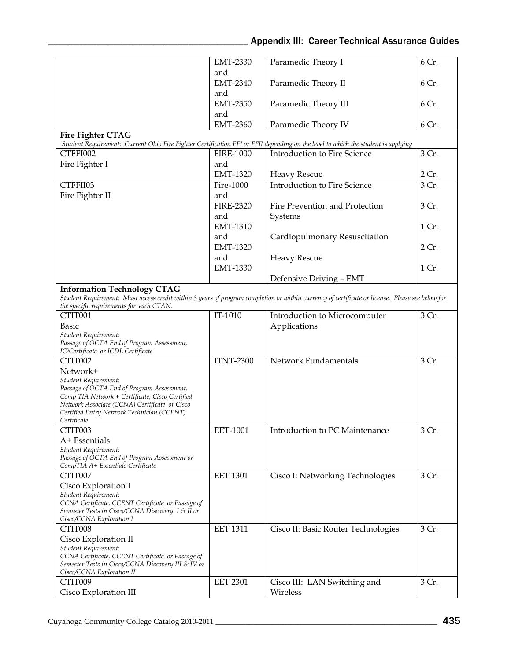## Appendix III: Career Technical Assurance Guides

|                                                                                               | <b>EMT-2330</b>  | Paramedic Theory I                                                                                                                              | 6 Cr. |
|-----------------------------------------------------------------------------------------------|------------------|-------------------------------------------------------------------------------------------------------------------------------------------------|-------|
|                                                                                               | and              |                                                                                                                                                 |       |
|                                                                                               | <b>EMT-2340</b>  | Paramedic Theory II                                                                                                                             | 6 Cr. |
|                                                                                               | and              |                                                                                                                                                 |       |
|                                                                                               | <b>EMT-2350</b>  | Paramedic Theory III                                                                                                                            | 6 Cr. |
|                                                                                               | and              |                                                                                                                                                 |       |
|                                                                                               | <b>EMT-2360</b>  | Paramedic Theory IV                                                                                                                             | 6 Cr. |
| Fire Fighter CTAG                                                                             |                  |                                                                                                                                                 |       |
|                                                                                               |                  | Student Requirement: Current Ohio Fire Fighter Certification FFI or FFII depending on the level to which the student is applying                |       |
| CTFFI002                                                                                      | <b>FIRE-1000</b> | <b>Introduction to Fire Science</b>                                                                                                             | 3 Cr. |
|                                                                                               | and              |                                                                                                                                                 |       |
| Fire Fighter I                                                                                |                  |                                                                                                                                                 |       |
|                                                                                               | <b>EMT-1320</b>  | <b>Heavy Rescue</b>                                                                                                                             | 2 Cr. |
| CTFFII03                                                                                      | Fire-1000        | <b>Introduction to Fire Science</b>                                                                                                             | 3 Cr. |
| Fire Fighter II                                                                               | and              |                                                                                                                                                 |       |
|                                                                                               | <b>FIRE-2320</b> | Fire Prevention and Protection                                                                                                                  | 3 Cr. |
|                                                                                               | and              | Systems                                                                                                                                         |       |
|                                                                                               | <b>EMT-1310</b>  |                                                                                                                                                 | 1 Cr. |
|                                                                                               | and              | Cardiopulmonary Resuscitation                                                                                                                   |       |
|                                                                                               | <b>EMT-1320</b>  |                                                                                                                                                 | 2 Cr. |
|                                                                                               | and              | <b>Heavy Rescue</b>                                                                                                                             |       |
|                                                                                               |                  |                                                                                                                                                 |       |
|                                                                                               | <b>EMT-1330</b>  |                                                                                                                                                 | 1 Cr. |
|                                                                                               |                  | Defensive Driving - EMT                                                                                                                         |       |
| <b>Information Technology CTAG</b>                                                            |                  |                                                                                                                                                 |       |
|                                                                                               |                  | Student Requirement: Must access credit within 3 years of program completion or within currency of certificate or license. Please see below for |       |
| the specific requirements for each CTAN.                                                      |                  |                                                                                                                                                 |       |
| CTIT001                                                                                       | IT-1010          | Introduction to Microcomputer                                                                                                                   | 3 Cr. |
| <b>Basic</b>                                                                                  |                  | Applications                                                                                                                                    |       |
| Student Requirement:                                                                          |                  |                                                                                                                                                 |       |
| Passage of OCTA End of Program Assessment,                                                    |                  |                                                                                                                                                 |       |
| IC <sup>3</sup> Certificate or ICDL Certificate                                               |                  | Network Fundamentals                                                                                                                            | 3 Cr  |
| CTIT002                                                                                       | <b>ITNT-2300</b> |                                                                                                                                                 |       |
| Network+                                                                                      |                  |                                                                                                                                                 |       |
| Student Requirement:                                                                          |                  |                                                                                                                                                 |       |
| Passage of OCTA End of Program Assessment,<br>Comp TIA Network + Certificate, Cisco Certified |                  |                                                                                                                                                 |       |
| Network Associate (CCNA) Certificate or Cisco                                                 |                  |                                                                                                                                                 |       |
| Certified Entry Network Technician (CCENT)                                                    |                  |                                                                                                                                                 |       |
| Certificate                                                                                   |                  |                                                                                                                                                 |       |
| CTIT003                                                                                       | EET-1001         | Introduction to PC Maintenance                                                                                                                  | 3 Cr. |
| $A+Essentials$                                                                                |                  |                                                                                                                                                 |       |
| Student Requirement:                                                                          |                  |                                                                                                                                                 |       |
| Passage of OCTA End of Program Assessment or                                                  |                  |                                                                                                                                                 |       |
| CompTIA A+ Essentials Certificate                                                             |                  |                                                                                                                                                 |       |
| CTIT007                                                                                       | <b>EET 1301</b>  | Cisco I: Networking Technologies                                                                                                                | 3 Cr. |
| Cisco Exploration I                                                                           |                  |                                                                                                                                                 |       |
| Student Requirement:                                                                          |                  |                                                                                                                                                 |       |
| CCNA Certificate, CCENT Certificate or Passage of                                             |                  |                                                                                                                                                 |       |
| Semester Tests in Cisco/CCNA Discovery I & II or<br>Cisco/CCNA Exploration I                  |                  |                                                                                                                                                 |       |
| CTIT008                                                                                       | <b>EET 1311</b>  |                                                                                                                                                 | 3 Cr. |
|                                                                                               |                  | Cisco II: Basic Router Technologies                                                                                                             |       |
| Cisco Exploration II                                                                          |                  |                                                                                                                                                 |       |
| Student Requirement:<br>CCNA Certificate, CCENT Certificate or Passage of                     |                  |                                                                                                                                                 |       |
| Semester Tests in Cisco/CCNA Discovery III & IV or                                            |                  |                                                                                                                                                 |       |
| Cisco/CCNA Exploration II                                                                     |                  |                                                                                                                                                 |       |
| CTIT009                                                                                       | <b>EET 2301</b>  | Cisco III: LAN Switching and                                                                                                                    | 3 Cr. |
| Cisco Exploration III                                                                         |                  | Wireless                                                                                                                                        |       |
|                                                                                               |                  |                                                                                                                                                 |       |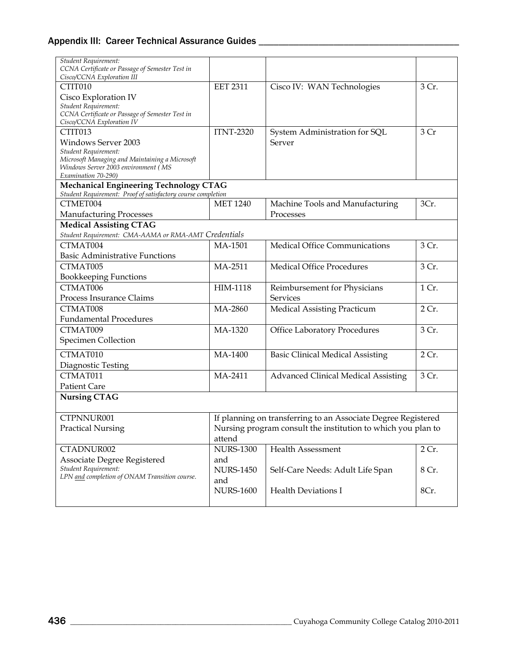| Student Requirement:<br>CCNA Certificate or Passage of Semester Test in<br>Cisco/CCNA Exploration III  |                  |                                                               |       |
|--------------------------------------------------------------------------------------------------------|------------------|---------------------------------------------------------------|-------|
| CTIT010                                                                                                | <b>EET 2311</b>  | Cisco IV: WAN Technologies                                    | 3 Cr. |
| Cisco Exploration IV                                                                                   |                  |                                                               |       |
| Student Requirement:                                                                                   |                  |                                                               |       |
| CCNA Certificate or Passage of Semester Test in                                                        |                  |                                                               |       |
| Cisco/CCNA Exploration IV<br>CTIT013                                                                   | <b>ITNT-2320</b> | System Administration for SQL                                 | 3 Cr  |
| <b>Windows Server 2003</b>                                                                             |                  | Server                                                        |       |
| Student Requirement:                                                                                   |                  |                                                               |       |
| Microsoft Managing and Maintaining a Microsoft                                                         |                  |                                                               |       |
| Windows Server 2003 environment (MS                                                                    |                  |                                                               |       |
| Examination 70-290)                                                                                    |                  |                                                               |       |
| Mechanical Engineering Technology CTAG<br>Student Requirement: Proof of satisfactory course completion |                  |                                                               |       |
| CTMET004                                                                                               | <b>MET 1240</b>  | Machine Tools and Manufacturing                               | 3Cr.  |
| <b>Manufacturing Processes</b>                                                                         |                  | Processes                                                     |       |
| <b>Medical Assisting CTAG</b>                                                                          |                  |                                                               |       |
| Student Requirement: CMA-AAMA or RMA-AMT Credentials                                                   |                  |                                                               |       |
| CTMAT004                                                                                               | MA-1501          | Medical Office Communications                                 | 3 Cr. |
| <b>Basic Administrative Functions</b>                                                                  |                  |                                                               |       |
| CTMAT005                                                                                               | MA-2511          | <b>Medical Office Procedures</b>                              | 3 Cr. |
| <b>Bookkeeping Functions</b>                                                                           |                  |                                                               |       |
| CTMAT006                                                                                               | HIM-1118         | Reimbursement for Physicians                                  | 1 Cr. |
| Process Insurance Claims                                                                               |                  | <b>Services</b>                                               |       |
| CTMAT008                                                                                               | MA-2860          | <b>Medical Assisting Practicum</b>                            | 2 Cr. |
| <b>Fundamental Procedures</b>                                                                          |                  |                                                               |       |
| CTMAT009                                                                                               | MA-1320          | Office Laboratory Procedures                                  | 3 Cr. |
| <b>Specimen Collection</b>                                                                             |                  |                                                               |       |
|                                                                                                        |                  |                                                               |       |
| CTMAT010                                                                                               | MA-1400          | <b>Basic Clinical Medical Assisting</b>                       | 2 Cr. |
| Diagnostic Testing                                                                                     |                  |                                                               |       |
| CTMAT011                                                                                               | MA-2411          | <b>Advanced Clinical Medical Assisting</b>                    | 3 Cr. |
| <b>Patient Care</b>                                                                                    |                  |                                                               |       |
| <b>Nursing CTAG</b>                                                                                    |                  |                                                               |       |
| CTPNNUR001                                                                                             |                  | If planning on transferring to an Associate Degree Registered |       |
| <b>Practical Nursing</b>                                                                               |                  | Nursing program consult the institution to which you plan to  |       |
|                                                                                                        | attend           |                                                               |       |
| CTADNUR002                                                                                             | <b>NURS-1300</b> | <b>Health Assessment</b>                                      | 2 Cr. |
| Associate Degree Registered                                                                            | and              |                                                               |       |
| Student Requirement:                                                                                   | <b>NURS-1450</b> | Self-Care Needs: Adult Life Span                              | 8 Cr. |
| LPN and completion of ONAM Transition course.                                                          | and              |                                                               |       |
|                                                                                                        | <b>NURS-1600</b> | <b>Health Deviations I</b>                                    | 8Cr.  |
|                                                                                                        |                  |                                                               |       |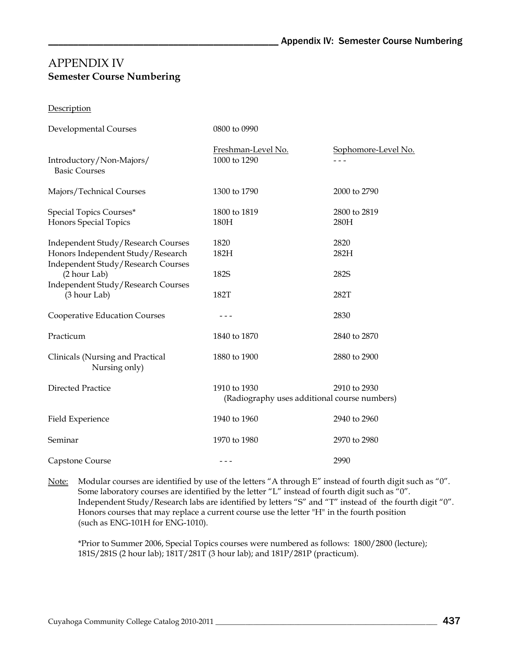## APPENDIX IV **Semester Course Numbering**

**Description** 

| Developmental Courses                                                   | 0800 to 0990                                                 |                                |
|-------------------------------------------------------------------------|--------------------------------------------------------------|--------------------------------|
| Introductory/Non-Majors/                                                | Freshman-Level No.<br>1000 to 1290                           | Sophomore-Level No.<br>$- - -$ |
| <b>Basic Courses</b>                                                    |                                                              |                                |
| Majors/Technical Courses                                                | 1300 to 1790                                                 | 2000 to 2790                   |
| Special Topics Courses*                                                 | 1800 to 1819                                                 | 2800 to 2819                   |
| Honors Special Topics                                                   | 180H                                                         | 280H                           |
| Independent Study/Research Courses                                      | 1820                                                         | 2820                           |
| Honors Independent Study/Research<br>Independent Study/Research Courses | 182H                                                         | 282H                           |
| (2 hour Lab)<br>Independent Study/Research Courses                      | 182S                                                         | 282S                           |
| (3 hour Lab)                                                            | 182T                                                         | 282T                           |
| Cooperative Education Courses                                           | - - -                                                        | 2830                           |
| Practicum                                                               | 1840 to 1870                                                 | 2840 to 2870                   |
| Clinicals (Nursing and Practical<br>Nursing only)                       | 1880 to 1900                                                 | 2880 to 2900                   |
| <b>Directed Practice</b>                                                | 1910 to 1930<br>(Radiography uses additional course numbers) | 2910 to 2930                   |
| Field Experience                                                        | 1940 to 1960                                                 | 2940 to 2960                   |
| Seminar                                                                 | 1970 to 1980                                                 | 2970 to 2980                   |
| Capstone Course                                                         | - - -                                                        | 2990                           |

Note: Modular courses are identified by use of the letters "A through E" instead of fourth digit such as "0". Some laboratory courses are identified by the letter "L" instead of fourth digit such as "0". Independent Study/Research labs are identified by letters "S" and "T" instead of the fourth digit "0". Honors courses that may replace a current course use the letter "H" in the fourth position (such as ENG-101H for ENG-1010).

\*Prior to Summer 2006, Special Topics courses were numbered as follows: 1800/2800 (lecture); 181S/281S (2 hour lab); 181T/281T (3 hour lab); and 181P/281P (practicum).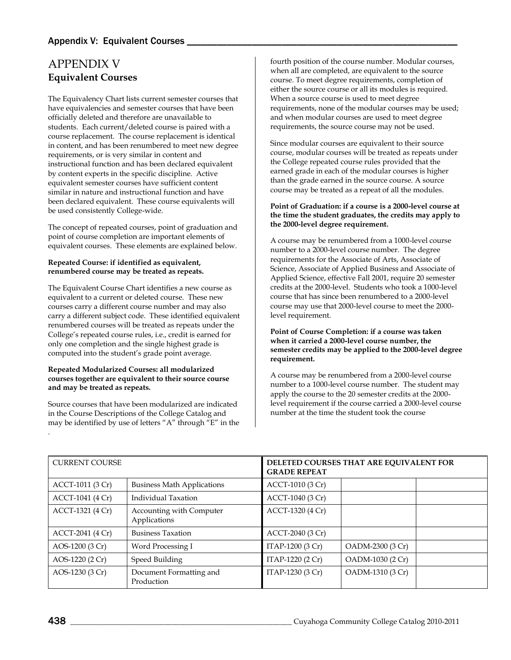# <span id="page-19-0"></span>APPENDIX V **Equivalent Courses**

The Equivalency Chart lists current semester courses that have equivalencies and semester courses that have been officially deleted and therefore are unavailable to students. Each current/deleted course is paired with a course replacement. The course replacement is identical in content, and has been renumbered to meet new degree requirements, or is very similar in content and instructional function and has been declared equivalent by content experts in the specific discipline. Active equivalent semester courses have sufficient content similar in nature and instructional function and have been declared equivalent. These course equivalents will be used consistently College-wide.

The concept of repeated courses, point of graduation and point of course completion are important elements of equivalent courses. These elements are explained below.

#### **Repeated Course: if identified as equivalent, renumbered course may be treated as repeats.**

The Equivalent Course Chart identifies a new course as equivalent to a current or deleted course. These new courses carry a different course number and may also carry a different subject code. These identified equivalent renumbered courses will be treated as repeats under the College's repeated course rules, i.e., credit is earned for only one completion and the single highest grade is computed into the student's grade point average.

#### **Repeated Modularized Courses: all modularized courses together are equivalent to their source course and may be treated as repeats.**

Source courses that have been modularized are indicated in the Course Descriptions of the College Catalog and may be identified by use of letters "A" through "E" in the .

fourth position of the course number. Modular courses, when all are completed, are equivalent to the source course. To meet degree requirements, completion of either the source course or all its modules is required. When a source course is used to meet degree requirements, none of the modular courses may be used; and when modular courses are used to meet degree requirements, the source course may not be used.

Since modular courses are equivalent to their source course, modular courses will be treated as repeats under the College repeated course rules provided that the earned grade in each of the modular courses is higher than the grade earned in the source course. A source course may be treated as a repeat of all the modules.

#### **Point of Graduation: if a course is a 2000-level course at the time the student graduates, the credits may apply to the 2000-level degree requirement.**

A course may be renumbered from a 1000-level course number to a 2000-level course number. The degree requirements for the Associate of Arts, Associate of Science, Associate of Applied Business and Associate of Applied Science, effective Fall 2001, require 20 semester credits at the 2000-level. Students who took a 1000-level course that has since been renumbered to a 2000-level course may use that 2000-level course to meet the 2000 level requirement.

**Point of Course Completion: if a course was taken when it carried a 2000-level course number, the semester credits may be applied to the 2000-level degree requirement.**

A course may be renumbered from a 2000-level course number to a 1000-level course number. The student may apply the course to the 20 semester credits at the 2000 level requirement if the course carried a 2000-level course number at the time the student took the course

| <b>CURRENT COURSE</b> |                                          | DELETED COURSES THAT ARE EQUIVALENT FOR<br><b>GRADE REPEAT</b> |                  |  |
|-----------------------|------------------------------------------|----------------------------------------------------------------|------------------|--|
| ACCT-1011 (3 Cr)      | <b>Business Math Applications</b>        | ACCT-1010 (3 Cr)                                               |                  |  |
| ACCT-1041 (4 Cr)      | Individual Taxation                      | ACCT-1040 (3 Cr)                                               |                  |  |
| ACCT-1321 (4 Cr)      | Accounting with Computer<br>Applications | ACCT-1320 (4 Cr)                                               |                  |  |
| ACCT-2041 (4 Cr)      | <b>Business Taxation</b>                 | ACCT-2040 (3 Cr)                                               |                  |  |
| AOS-1200 (3 Cr)       | Word Processing I                        | ITAP-1200 (3 Cr)                                               | OADM-2300 (3 Cr) |  |
| AOS-1220 (2 Cr)       | Speed Building                           | ITAP-1220 (2 Cr)                                               | OADM-1030 (2 Cr) |  |
| AOS-1230 (3 Cr)       | Document Formatting and<br>Production    | ITAP-1230 (3 Cr)                                               | OADM-1310 (3 Cr) |  |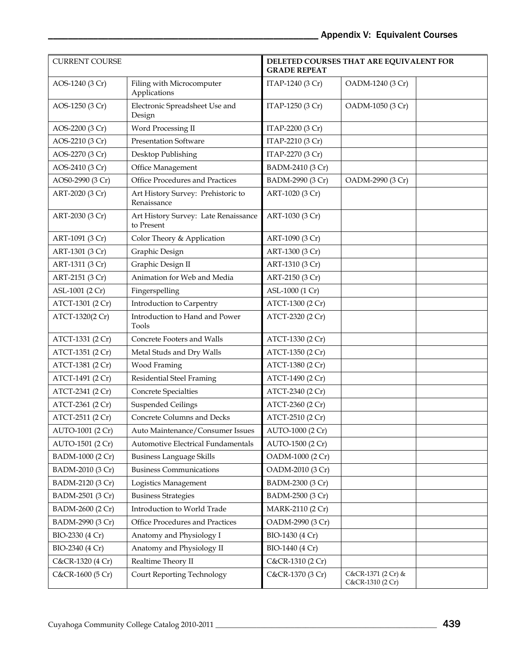| <b>CURRENT COURSE</b> |                                                    | <b>GRADE REPEAT</b> | DELETED COURSES THAT ARE EQUIVALENT FOR |  |
|-----------------------|----------------------------------------------------|---------------------|-----------------------------------------|--|
| AOS-1240 (3 Cr)       | Filing with Microcomputer<br>Applications          | ITAP-1240 (3 Cr)    | OADM-1240 (3 Cr)                        |  |
| AOS-1250 (3 Cr)       | Electronic Spreadsheet Use and<br>Design           | ITAP-1250 (3 Cr)    | OADM-1050 (3 Cr)                        |  |
| AOS-2200 (3 Cr)       | Word Processing II                                 | ITAP-2200 (3 Cr)    |                                         |  |
| AOS-2210 (3 Cr)       | <b>Presentation Software</b>                       | ITAP-2210 (3 Cr)    |                                         |  |
| AOS-2270 (3 Cr)       | Desktop Publishing                                 | ITAP-2270 (3 Cr)    |                                         |  |
| AOS-2410 (3 Cr)       | Office Management                                  | BADM-2410 (3 Cr)    |                                         |  |
| AOS0-2990 (3 Cr)      | Office Procedures and Practices                    | BADM-2990 (3 Cr)    | OADM-2990 (3 Cr)                        |  |
| ART-2020 (3 Cr)       | Art History Survey: Prehistoric to<br>Renaissance  | ART-1020 (3 Cr)     |                                         |  |
| ART-2030 (3 Cr)       | Art History Survey: Late Renaissance<br>to Present | ART-1030 (3 Cr)     |                                         |  |
| ART-1091 (3 Cr)       | Color Theory & Application                         | ART-1090 (3 Cr)     |                                         |  |
| ART-1301 (3 Cr)       | Graphic Design                                     | ART-1300 (3 Cr)     |                                         |  |
| ART-1311 (3 Cr)       | Graphic Design II                                  | ART-1310 (3 Cr)     |                                         |  |
| ART-2151 (3 Cr)       | Animation for Web and Media                        | ART-2150 (3 Cr)     |                                         |  |
| ASL-1001 (2 Cr)       | Fingerspelling                                     | ASL-1000 (1 Cr)     |                                         |  |
| ATCT-1301 (2 Cr)      | Introduction to Carpentry                          | ATCT-1300 (2 Cr)    |                                         |  |
| ATCT-1320(2 Cr)       | Introduction to Hand and Power<br>Tools            | ATCT-2320 (2 Cr)    |                                         |  |
| ATCT-1331 (2 Cr)      | Concrete Footers and Walls                         | ATCT-1330 (2 Cr)    |                                         |  |
| ATCT-1351 (2 Cr)      | Metal Studs and Dry Walls                          | ATCT-1350 (2 Cr)    |                                         |  |
| ATCT-1381 (2 Cr)      | Wood Framing                                       | ATCT-1380 (2 Cr)    |                                         |  |
| ATCT-1491 (2 Cr)      | <b>Residential Steel Framing</b>                   | ATCT-1490 (2 Cr)    |                                         |  |
| ATCT-2341 (2 Cr)      | Concrete Specialties                               | ATCT-2340 (2 Cr)    |                                         |  |
| ATCT-2361 (2 Cr)      | <b>Suspended Ceilings</b>                          | ATCT-2360 (2 Cr)    |                                         |  |
| ATCT-2511 (2 Cr)      | Concrete Columns and Decks                         | ATCT-2510 (2 Cr)    |                                         |  |
| AUTO-1001 (2 Cr)      | Auto Maintenance/Consumer Issues                   | AUTO-1000 (2 Cr)    |                                         |  |
| AUTO-1501 (2 Cr)      | Automotive Electrical Fundamentals                 | AUTO-1500 (2 Cr)    |                                         |  |
| BADM-1000 (2 Cr)      | <b>Business Language Skills</b>                    | OADM-1000 (2 Cr)    |                                         |  |
| BADM-2010 (3 Cr)      | <b>Business Communications</b>                     | OADM-2010 (3 Cr)    |                                         |  |
| BADM-2120 (3 Cr)      | Logistics Management                               | BADM-2300 (3 Cr)    |                                         |  |
| BADM-2501 (3 Cr)      | <b>Business Strategies</b>                         | BADM-2500 (3 Cr)    |                                         |  |
| BADM-2600 (2 Cr)      | Introduction to World Trade                        | MARK-2110 (2 Cr)    |                                         |  |
| BADM-2990 (3 Cr)      | Office Procedures and Practices                    | OADM-2990 (3 Cr)    |                                         |  |
| BIO-2330 (4 Cr)       | Anatomy and Physiology I                           | BIO-1430 (4 Cr)     |                                         |  |
| BIO-2340 (4 Cr)       | Anatomy and Physiology II                          | BIO-1440 (4 Cr)     |                                         |  |
| C&CR-1320 (4 Cr)      | Realtime Theory II                                 | C&CR-1310 (2 Cr)    |                                         |  |
| C&CR-1600 (5 Cr)      | <b>Court Reporting Technology</b>                  | C&CR-1370 (3 Cr)    | C&CR-1371 (2 Cr) &<br>C&CR-1310 (2 Cr)  |  |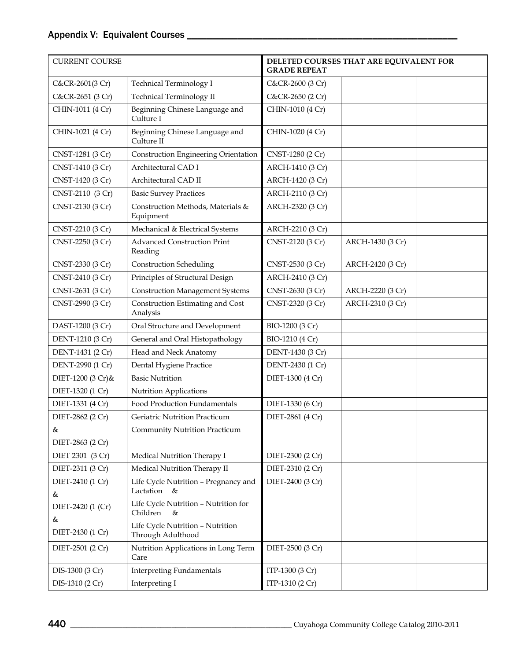| <b>CURRENT COURSE</b> |                                                          | <b>GRADE REPEAT</b> | DELETED COURSES THAT ARE EQUIVALENT FOR |
|-----------------------|----------------------------------------------------------|---------------------|-----------------------------------------|
| C&CR-2601(3 Cr)       | <b>Technical Terminology I</b>                           | C&CR-2600 (3 Cr)    |                                         |
| C&CR-2651 (3 Cr)      | Technical Terminology II                                 | C&CR-2650 (2 Cr)    |                                         |
| CHIN-1011 (4 Cr)      | Beginning Chinese Language and<br>Culture I              | CHIN-1010 (4 Cr)    |                                         |
| CHIN-1021 (4 Cr)      | Beginning Chinese Language and<br>Culture II             | CHIN-1020 (4 Cr)    |                                         |
| CNST-1281 (3 Cr)      | <b>Construction Engineering Orientation</b>              | CNST-1280 (2 Cr)    |                                         |
| CNST-1410 (3 Cr)      | Architectural CAD I                                      | ARCH-1410 (3 Cr)    |                                         |
| CNST-1420 (3 Cr)      | Architectural CAD II                                     | ARCH-1420 (3 Cr)    |                                         |
| CNST-2110 (3 Cr)      | <b>Basic Survey Practices</b>                            | ARCH-2110 (3 Cr)    |                                         |
| CNST-2130 (3 Cr)      | Construction Methods, Materials &<br>Equipment           | ARCH-2320 (3 Cr)    |                                         |
| CNST-2210 (3 Cr)      | Mechanical & Electrical Systems                          | ARCH-2210 (3 Cr)    |                                         |
| CNST-2250 (3 Cr)      | <b>Advanced Construction Print</b><br>Reading            | CNST-2120 (3 Cr)    | ARCH-1430 (3 Cr)                        |
| CNST-2330 (3 Cr)      | <b>Construction Scheduling</b>                           | CNST-2530 (3 Cr)    | ARCH-2420 (3 Cr)                        |
| CNST-2410 (3 Cr)      | Principles of Structural Design                          | ARCH-2410 (3 Cr)    |                                         |
| CNST-2631 (3 Cr)      | <b>Construction Management Systems</b>                   | CNST-2630 (3 Cr)    | ARCH-2220 (3 Cr)                        |
| CNST-2990 (3 Cr)      | Construction Estimating and Cost<br>Analysis             | CNST-2320 (3 Cr)    | ARCH-2310 (3 Cr)                        |
| DAST-1200 (3 Cr)      | Oral Structure and Development                           | BIO-1200 (3 Cr)     |                                         |
| DENT-1210 (3 Cr)      | General and Oral Histopathology                          | BIO-1210 (4 Cr)     |                                         |
| DENT-1431 (2 Cr)      | Head and Neck Anatomy                                    | DENT-1430 (3 Cr)    |                                         |
| DENT-2990 (1 Cr)      | Dental Hygiene Practice                                  | DENT-2430 (1 Cr)    |                                         |
| DIET-1200 (3 Cr)&     | <b>Basic Nutrition</b>                                   | DIET-1300 (4 Cr)    |                                         |
| DIET-1320 (1 Cr)      | Nutrition Applications                                   |                     |                                         |
| DIET-1331 (4 Cr)      | Food Production Fundamentals                             | DIET-1330 (6 Cr)    |                                         |
| DIET-2862 (2 Cr)      | Geriatric Nutrition Practicum                            | DIET-2861 (4 Cr)    |                                         |
| &                     | Community Nutrition Practicum                            |                     |                                         |
| DIET-2863 (2 Cr)      |                                                          |                     |                                         |
| DIET 2301 (3 Cr)      | Medical Nutrition Therapy I                              | DIET-2300 (2 Cr)    |                                         |
| DIET-2311 (3 Cr)      | Medical Nutrition Therapy II                             | DIET-2310 (2 Cr)    |                                         |
| DIET-2410 (1 Cr)<br>& | Life Cycle Nutrition - Pregnancy and<br>Lactation &      | DIET-2400 (3 Cr)    |                                         |
| DIET-2420 (1 (Cr)     | Life Cycle Nutrition - Nutrition for<br>Children<br>$\&$ |                     |                                         |
| &<br>DIET-2430 (1 Cr) | Life Cycle Nutrition - Nutrition<br>Through Adulthood    |                     |                                         |
| DIET-2501 (2 Cr)      | Nutrition Applications in Long Term<br>Care              | DIET-2500 (3 Cr)    |                                         |
| DIS-1300 (3 Cr)       | <b>Interpreting Fundamentals</b>                         | ITP-1300 (3 Cr)     |                                         |
| DIS-1310 (2 Cr)       | Interpreting I                                           | ITP-1310 (2 Cr)     |                                         |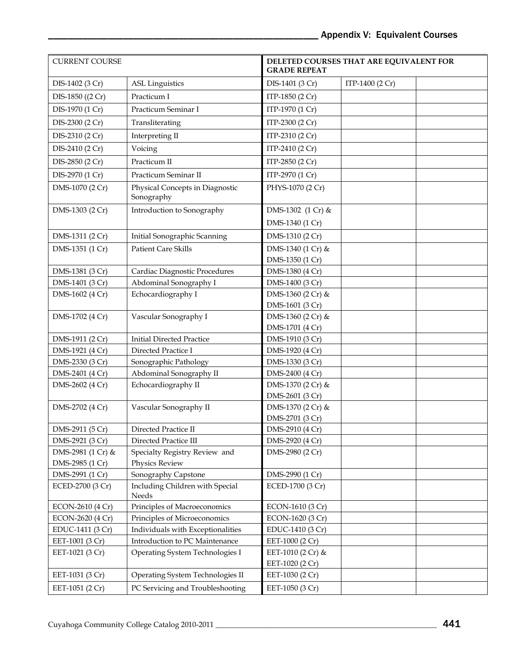| <b>CURRENT COURSE</b> |                                               | <b>GRADE REPEAT</b>                  | DELETED COURSES THAT ARE EQUIVALENT FOR |
|-----------------------|-----------------------------------------------|--------------------------------------|-----------------------------------------|
| DIS-1402 (3 Cr)       | <b>ASL Linguistics</b>                        | DIS-1401 (3 Cr)                      | ITP-1400 (2 Cr)                         |
| DIS-1850 ((2 Cr)      | Practicum I                                   | ITP-1850 (2 Cr)                      |                                         |
| DIS-1970 (1 Cr)       | Practicum Seminar I                           | ITP-1970 (1 Cr)                      |                                         |
| DIS-2300 (2 Cr)       | Transliterating                               | ITP-2300 (2 Cr)                      |                                         |
| DIS-2310 (2 Cr)       | Interpreting II                               | ITP-2310 (2 Cr)                      |                                         |
| DIS-2410 (2 Cr)       | Voicing                                       | ITP-2410 (2 Cr)                      |                                         |
| DIS-2850 (2 Cr)       | Practicum II                                  | ITP-2850 (2 Cr)                      |                                         |
| DIS-2970 (1 Cr)       | Practicum Seminar II                          | ITP-2970 (1 Cr)                      |                                         |
| DMS-1070 (2 Cr)       | Physical Concepts in Diagnostic<br>Sonography | PHYS-1070 (2 Cr)                     |                                         |
| DMS-1303 (2 Cr)       | Introduction to Sonography                    | DMS-1302 (1 Cr) &                    |                                         |
|                       |                                               | DMS-1340 (1 Cr)                      |                                         |
| DMS-1311 (2 Cr)       | Initial Sonographic Scanning                  | DMS-1310 (2 Cr)                      |                                         |
| DMS-1351 (1 Cr)       | <b>Patient Care Skills</b>                    | DMS-1340 (1 Cr) &                    |                                         |
|                       |                                               | DMS-1350 (1 Cr)                      |                                         |
| DMS-1381 (3 Cr)       | Cardiac Diagnostic Procedures                 | DMS-1380 (4 Cr)                      |                                         |
| DMS-1401 (3 Cr)       | Abdominal Sonography I                        | DMS-1400 (3 Cr)                      |                                         |
| DMS-1602 (4 Cr)       | Echocardiography I                            | DMS-1360 (2 Cr) &                    |                                         |
|                       |                                               | DMS-1601 (3 Cr)                      |                                         |
| DMS-1702 (4 Cr)       | Vascular Sonography I                         | DMS-1360 (2 Cr) &                    |                                         |
|                       |                                               | DMS-1701 (4 Cr)                      |                                         |
| DMS-1911 (2 Cr)       | <b>Initial Directed Practice</b>              | DMS-1910 (3 Cr)                      |                                         |
| DMS-1921 (4 Cr)       | Directed Practice I                           | DMS-1920 (4 Cr)                      |                                         |
| DMS-2330 (3 Cr)       | Sonographic Pathology                         | DMS-1330 (3 Cr)                      |                                         |
| DMS-2401 (4 Cr)       | Abdominal Sonography II                       | DMS-2400 (4 Cr)                      |                                         |
| DMS-2602 (4 Cr)       | Echocardiography II                           | DMS-1370 (2 Cr) &<br>DMS-2601 (3 Cr) |                                         |
| DMS-2702 (4 Cr)       | Vascular Sonography II                        | DMS-1370 (2 Cr) &                    |                                         |
|                       |                                               | DMS-2701 (3 Cr)                      |                                         |
| DMS-2911 (5 Cr)       | Directed Practice II                          | DMS-2910 (4 Cr)                      |                                         |
| DMS-2921 (3 Cr)       | Directed Practice III                         | DMS-2920 (4 Cr)                      |                                         |
| DMS-2981 (1 Cr) &     | Specialty Registry Review and                 | DMS-2980 (2 Cr)                      |                                         |
| DMS-2985 (1 Cr)       | Physics Review                                |                                      |                                         |
| DMS-2991 (1 Cr)       | Sonography Capstone                           | DMS-2990 (1 Cr)                      |                                         |
| ECED-2700 (3 Cr)      | Including Children with Special<br>Needs      | ECED-1700 (3 Cr)                     |                                         |
| ECON-2610 (4 Cr)      | Principles of Macroeconomics                  | ECON-1610 (3 Cr)                     |                                         |
| ECON-2620 (4 Cr)      | Principles of Microeconomics                  | ECON-1620 (3 Cr)                     |                                         |
| EDUC-1411 (3 Cr)      | Individuals with Exceptionalities             | EDUC-1410 (3 Cr)                     |                                         |
| EET-1001 (3 Cr)       | Introduction to PC Maintenance                | EET-1000 (2 Cr)                      |                                         |
| EET-1021 (3 Cr)       | Operating System Technologies I               | EET-1010 (2 Cr) &                    |                                         |
|                       |                                               | EET-1020 (2 Cr)                      |                                         |
| EET-1031 (3 Cr)       | Operating System Technologies II              | EET-1030 (2 Cr)                      |                                         |
| EET-1051 (2 Cr)       | PC Servicing and Troubleshooting              | EET-1050 (3 Cr)                      |                                         |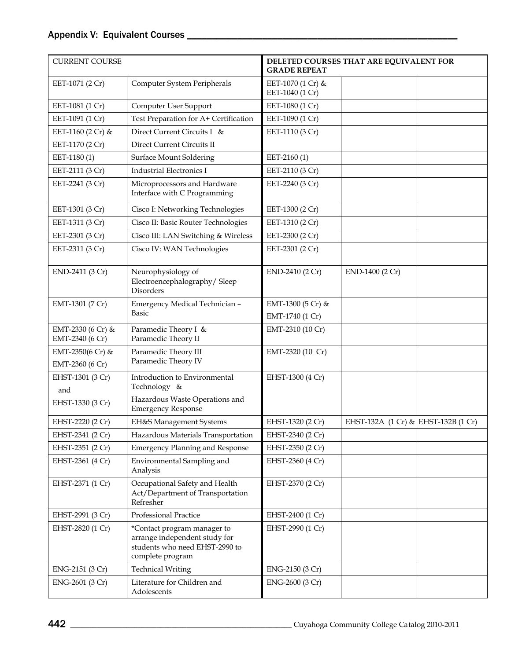## Appendix V: Equivalent Courses \_\_\_\_\_\_\_\_\_\_\_\_\_\_\_\_\_\_\_\_\_\_\_\_\_\_\_\_\_\_\_\_\_\_\_\_\_\_\_\_\_\_\_\_\_\_\_\_\_\_\_\_\_\_

| <b>CURRENT COURSE</b>                |                                                                                                                    | DELETED COURSES THAT ARE EQUIVALENT FOR<br><b>GRADE REPEAT</b> |                                     |
|--------------------------------------|--------------------------------------------------------------------------------------------------------------------|----------------------------------------------------------------|-------------------------------------|
| EET-1071 (2 Cr)                      | Computer System Peripherals                                                                                        | EET-1070 (1 Cr) &<br>EET-1040 (1 Cr)                           |                                     |
| EET-1081 (1 Cr)                      | Computer User Support                                                                                              | EET-1080 (1 Cr)                                                |                                     |
| EET-1091 (1 Cr)                      | Test Preparation for A+ Certification                                                                              | EET-1090 (1 Cr)                                                |                                     |
| EET-1160 (2 Cr) &                    | Direct Current Circuits I &                                                                                        | EET-1110 (3 Cr)                                                |                                     |
| EET-1170 (2 Cr)                      | Direct Current Circuits II                                                                                         |                                                                |                                     |
| EET-1180(1)                          | <b>Surface Mount Soldering</b>                                                                                     | EET-2160 (1)                                                   |                                     |
| EET-2111 (3 Cr)                      | <b>Industrial Electronics I</b>                                                                                    | EET-2110 (3 Cr)                                                |                                     |
| EET-2241 (3 Cr)                      | Microprocessors and Hardware<br>Interface with C Programming                                                       | EET-2240 (3 Cr)                                                |                                     |
| EET-1301 (3 Cr)                      | Cisco I: Networking Technologies                                                                                   | EET-1300 (2 Cr)                                                |                                     |
| EET-1311 (3 Cr)                      | Cisco II: Basic Router Technologies                                                                                | EET-1310 (2 Cr)                                                |                                     |
| EET-2301 (3 Cr)                      | Cisco III: LAN Switching & Wireless                                                                                | EET-2300 (2 Cr)                                                |                                     |
| EET-2311 (3 Cr)                      | Cisco IV: WAN Technologies                                                                                         | EET-2301 (2 Cr)                                                |                                     |
| END-2411 (3 Cr)                      | Neurophysiology of<br>Electroencephalography/Sleep<br>Disorders                                                    | END-2410 (2 Cr)                                                | END-1400 (2 Cr)                     |
| EMT-1301 (7 Cr)                      | Emergency Medical Technician -<br><b>Basic</b>                                                                     | EMT-1300 (5 Cr) &                                              |                                     |
|                                      | Paramedic Theory I &                                                                                               | EMT-1740 (1 Cr)                                                |                                     |
| EMT-2330 (6 Cr) &<br>EMT-2340 (6 Cr) | Paramedic Theory II                                                                                                | EMT-2310 (10 Cr)                                               |                                     |
| EMT-2350(6 Cr) &                     | Paramedic Theory III                                                                                               | EMT-2320 (10 Cr)                                               |                                     |
| EMT-2360 (6 Cr)                      | Paramedic Theory IV                                                                                                |                                                                |                                     |
| EHST-1301 (3 Cr)<br>and              | Introduction to Environmental<br>Technology &                                                                      | EHST-1300 (4 Cr)                                               |                                     |
| EHST-1330 (3 Cr)                     | Hazardous Waste Operations and<br><b>Emergency Response</b>                                                        |                                                                |                                     |
| EHST-2220 (2 Cr)                     | EH&S Management Systems                                                                                            | EHST-1320 (2 Cr)                                               | EHST-132A (1 Cr) & EHST-132B (1 Cr) |
| EHST-2341 (2 Cr)                     | Hazardous Materials Transportation                                                                                 | EHST-2340 (2 Cr)                                               |                                     |
| EHST-2351 (2 Cr)                     | <b>Emergency Planning and Response</b>                                                                             | EHST-2350 (2 Cr)                                               |                                     |
| EHST-2361 (4 Cr)                     | Environmental Sampling and<br>Analysis                                                                             | EHST-2360 (4 Cr)                                               |                                     |
| EHST-2371 (1 Cr)                     | Occupational Safety and Health<br>Act/Department of Transportation<br>Refresher                                    | EHST-2370 (2 Cr)                                               |                                     |
| EHST-2991 (3 Cr)                     | Professional Practice                                                                                              | EHST-2400 (1 Cr)                                               |                                     |
| EHST-2820 (1 Cr)                     | *Contact program manager to<br>arrange independent study for<br>students who need EHST-2990 to<br>complete program | EHST-2990 (1 Cr)                                               |                                     |
| ENG-2151 (3 Cr)                      | <b>Technical Writing</b>                                                                                           | ENG-2150 (3 Cr)                                                |                                     |
| ENG-2601 (3 Cr)                      | Literature for Children and<br>Adolescents                                                                         | ENG-2600 (3 Cr)                                                |                                     |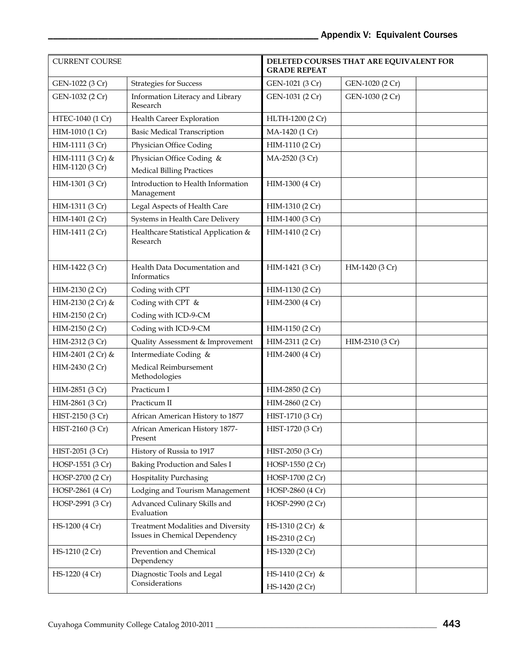| <b>CURRENT COURSE</b> |                                                  | <b>GRADE REPEAT</b> | DELETED COURSES THAT ARE EQUIVALENT FOR |
|-----------------------|--------------------------------------------------|---------------------|-----------------------------------------|
| GEN-1022 (3 Cr)       | <b>Strategies for Success</b>                    | GEN-1021 (3 Cr)     | GEN-1020 (2 Cr)                         |
| GEN-1032 (2 Cr)       | Information Literacy and Library<br>Research     | GEN-1031 (2 Cr)     | GEN-1030 (2 Cr)                         |
| HTEC-1040 (1 Cr)      | Health Career Exploration                        | HLTH-1200 (2 Cr)    |                                         |
| HIM-1010 (1 Cr)       | <b>Basic Medical Transcription</b>               | MA-1420 (1 Cr)      |                                         |
| HIM-1111 (3 Cr)       | Physician Office Coding                          | HIM-1110 (2 Cr)     |                                         |
| HIM-1111 (3 Cr) &     | Physician Office Coding &                        | MA-2520 (3 Cr)      |                                         |
| HIM-1120 (3 Cr)       | <b>Medical Billing Practices</b>                 |                     |                                         |
| HIM-1301 (3 Cr)       | Introduction to Health Information<br>Management | HIM-1300 (4 Cr)     |                                         |
| HIM-1311 (3 Cr)       | Legal Aspects of Health Care                     | HIM-1310 (2 Cr)     |                                         |
| HIM-1401 (2 Cr)       | Systems in Health Care Delivery                  | HIM-1400 (3 Cr)     |                                         |
| HIM-1411 (2 Cr)       | Healthcare Statistical Application &<br>Research | HIM-1410 (2 Cr)     |                                         |
| HIM-1422 (3 Cr)       | Health Data Documentation and<br>Informatics     | HIM-1421 (3 Cr)     | HM-1420 (3 Cr)                          |
| HIM-2130 (2 Cr)       | Coding with CPT                                  | HIM-1130 (2 Cr)     |                                         |
| HIM-2130 (2 Cr) &     | Coding with CPT &                                | HIM-2300 (4 Cr)     |                                         |
| HIM-2150 (2 Cr)       | Coding with ICD-9-CM                             |                     |                                         |
| HIM-2150 (2 Cr)       | Coding with ICD-9-CM                             | HIM-1150 (2 Cr)     |                                         |
| HIM-2312 (3 Cr)       | Quality Assessment & Improvement                 | HIM-2311 (2 Cr)     | HIM-2310 (3 Cr)                         |
| HIM-2401 (2 Cr) &     | Intermediate Coding &                            | HIM-2400 (4 Cr)     |                                         |
| HIM-2430 (2 Cr)       | Medical Reimbursement<br>Methodologies           |                     |                                         |
| HIM-2851 (3 Cr)       | Practicum I                                      | HIM-2850 (2 Cr)     |                                         |
| HIM-2861 (3 Cr)       | Practicum II                                     | HIM-2860 (2 Cr)     |                                         |
| HIST-2150 (3 Cr)      | African American History to 1877                 | HIST-1710 (3 Cr)    |                                         |
| HIST-2160 (3 Cr)      | African American History 1877-<br>Present        | HIST-1720 (3 Cr)    |                                         |
| HIST-2051 (3 Cr)      | History of Russia to 1917                        | HIST-2050 (3 Cr)    |                                         |
| HOSP-1551 (3 Cr)      | Baking Production and Sales I                    | HOSP-1550 (2 Cr)    |                                         |
| HOSP-2700 (2 Cr)      | <b>Hospitality Purchasing</b>                    | HOSP-1700 (2 Cr)    |                                         |
| HOSP-2861 (4 Cr)      | Lodging and Tourism Management                   | HOSP-2860 (4 Cr)    |                                         |
| HOSP-2991 (3 Cr)      | Advanced Culinary Skills and<br>Evaluation       | HOSP-2990 (2 Cr)    |                                         |
| HS-1200 (4 Cr)        | Treatment Modalities and Diversity               | HS-1310 (2 Cr) &    |                                         |
|                       | Issues in Chemical Dependency                    | HS-2310 (2 Cr)      |                                         |
| HS-1210 (2 Cr)        | Prevention and Chemical<br>Dependency            | HS-1320 (2 Cr)      |                                         |
| HS-1220 (4 Cr)        | Diagnostic Tools and Legal                       | HS-1410 (2 Cr) &    |                                         |
|                       | Considerations                                   | HS-1420 (2 Cr)      |                                         |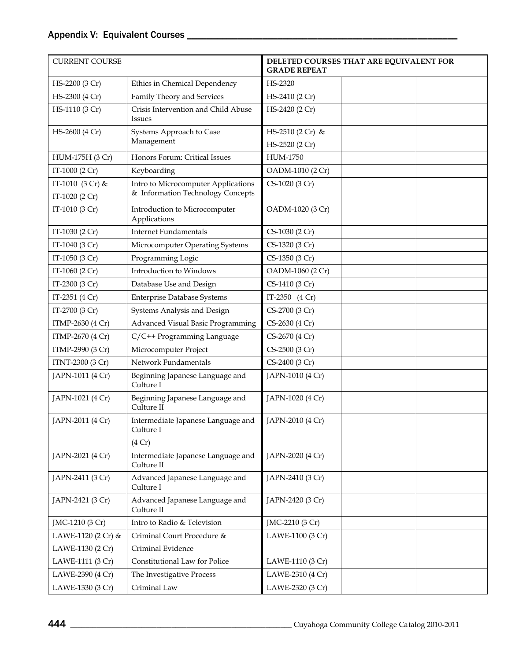| <b>CURRENT COURSE</b> |                                                           | DELETED COURSES THAT ARE EQUIVALENT FOR<br><b>GRADE REPEAT</b> |  |  |
|-----------------------|-----------------------------------------------------------|----------------------------------------------------------------|--|--|
| HS-2200 (3 Cr)        | Ethics in Chemical Dependency                             | HS-2320                                                        |  |  |
| HS-2300 (4 Cr)        | Family Theory and Services                                | HS-2410 (2 Cr)                                                 |  |  |
| HS-1110 (3 Cr)        | Crisis Intervention and Child Abuse<br><b>Issues</b>      | HS-2420 (2 Cr)                                                 |  |  |
| HS-2600 (4 Cr)        | Systems Approach to Case                                  | HS-2510 (2 Cr) &                                               |  |  |
|                       | Management                                                | HS-2520 (2 Cr)                                                 |  |  |
| HUM-175H (3 Cr)       | Honors Forum: Critical Issues                             | <b>HUM-1750</b>                                                |  |  |
| IT-1000 (2 Cr)        | Keyboarding                                               | OADM-1010 (2 Cr)                                               |  |  |
| IT-1010 (3 Cr) &      | Intro to Microcomputer Applications                       | CS-1020 (3 Cr)                                                 |  |  |
| IT-1020 (2 Cr)        | & Information Technology Concepts                         |                                                                |  |  |
| IT-1010 (3 Cr)        | Introduction to Microcomputer<br>Applications             | OADM-1020 (3 Cr)                                               |  |  |
| IT-1030 (2 Cr)        | <b>Internet Fundamentals</b>                              | CS-1030 (2 Cr)                                                 |  |  |
| IT-1040 (3 Cr)        | Microcomputer Operating Systems                           | CS-1320 (3 Cr)                                                 |  |  |
| IT-1050 (3 Cr)        | Programming Logic                                         | CS-1350 (3 Cr)                                                 |  |  |
| IT-1060 (2 Cr)        | Introduction to Windows                                   | OADM-1060 (2 Cr)                                               |  |  |
| IT-2300 (3 Cr)        | Database Use and Design                                   | CS-1410 (3 Cr)                                                 |  |  |
| IT-2351 (4 Cr)        | <b>Enterprise Database Systems</b>                        | IT-2350 (4 Cr)                                                 |  |  |
| IT-2700 (3 Cr)        | Systems Analysis and Design                               | CS-2700 (3 Cr)                                                 |  |  |
| ITMP-2630 (4 Cr)      | Advanced Visual Basic Programming                         | CS-2630 (4 Cr)                                                 |  |  |
| ITMP-2670 (4 Cr)      | C/C++ Programming Language                                | CS-2670 (4 Cr)                                                 |  |  |
| ITMP-2990 (3 Cr)      | Microcomputer Project                                     | CS-2500 (3 Cr)                                                 |  |  |
| ITNT-2300 (3 Cr)      | Network Fundamentals                                      | CS-2400 (3 Cr)                                                 |  |  |
| JAPN-1011 (4 Cr)      | Beginning Japanese Language and<br>Culture I              | JAPN-1010 (4 Cr)                                               |  |  |
| JAPN-1021 (4 Cr)      | Beginning Japanese Language and<br>Culture II             | JAPN-1020 (4 Cr)                                               |  |  |
| JAPN-2011 (4 Cr)      | Intermediate Japanese Language and<br>Culture I<br>(4 Cr) | JAPN-2010 (4 Cr)                                               |  |  |
| JAPN-2021 (4 Cr)      | Intermediate Japanese Language and<br>Culture II          | JAPN-2020 (4 Cr)                                               |  |  |
| JAPN-2411 (3 Cr)      | Advanced Japanese Language and<br>Culture I               | JAPN-2410 (3 Cr)                                               |  |  |
| JAPN-2421 (3 Cr)      | Advanced Japanese Language and<br>Culture II              | JAPN-2420 (3 Cr)                                               |  |  |
| JMC-1210 (3 Cr)       | Intro to Radio & Television                               | JMC-2210 (3 Cr)                                                |  |  |
| LAWE-1120 (2 Cr) &    | Criminal Court Procedure &                                | LAWE-1100 (3 Cr)                                               |  |  |
| LAWE-1130 (2 Cr)      | Criminal Evidence                                         |                                                                |  |  |
| LAWE-1111 (3 Cr)      | Constitutional Law for Police                             | LAWE-1110 (3 Cr)                                               |  |  |
| LAWE-2390 (4 Cr)      | The Investigative Process                                 | LAWE-2310 (4 Cr)                                               |  |  |
| LAWE-1330 (3 Cr)      | Criminal Law                                              | LAWE-2320 (3 Cr)                                               |  |  |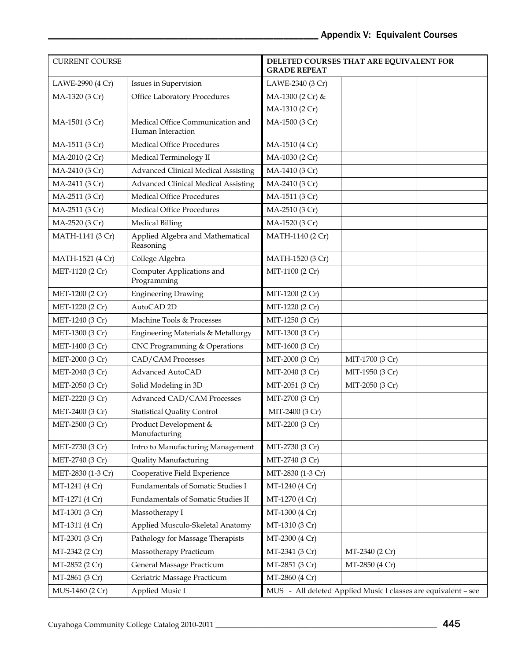| <b>CURRENT COURSE</b> |                                                       | <b>GRADE REPEAT</b> | DELETED COURSES THAT ARE EQUIVALENT FOR                        |
|-----------------------|-------------------------------------------------------|---------------------|----------------------------------------------------------------|
| LAWE-2990 (4 Cr)      | Issues in Supervision                                 | LAWE-2340 (3 Cr)    |                                                                |
| MA-1320 (3 Cr)        | Office Laboratory Procedures                          | MA-1300 (2 Cr) &    |                                                                |
|                       |                                                       | MA-1310 (2 Cr)      |                                                                |
| MA-1501 (3 Cr)        | Medical Office Communication and<br>Human Interaction | MA-1500 (3 Cr)      |                                                                |
| MA-1511 (3 Cr)        | <b>Medical Office Procedures</b>                      | MA-1510 (4 Cr)      |                                                                |
| MA-2010 (2 Cr)        | Medical Terminology II                                | MA-1030 (2 Cr)      |                                                                |
| MA-2410 (3 Cr)        | <b>Advanced Clinical Medical Assisting</b>            | MA-1410 (3 Cr)      |                                                                |
| MA-2411 (3 Cr)        | <b>Advanced Clinical Medical Assisting</b>            | MA-2410 (3 Cr)      |                                                                |
| MA-2511 (3 Cr)        | <b>Medical Office Procedures</b>                      | MA-1511 (3 Cr)      |                                                                |
| MA-2511 (3 Cr)        | <b>Medical Office Procedures</b>                      | MA-2510 (3 Cr)      |                                                                |
| MA-2520 (3 Cr)        | <b>Medical Billing</b>                                | MA-1520 (3 Cr)      |                                                                |
| MATH-1141 (3 Cr)      | Applied Algebra and Mathematical<br>Reasoning         | MATH-1140 (2 Cr)    |                                                                |
| MATH-1521 (4 Cr)      | College Algebra                                       | MATH-1520 (3 Cr)    |                                                                |
| MET-1120 (2 Cr)       | Computer Applications and<br>Programming              | MIT-1100 (2 Cr)     |                                                                |
| MET-1200 (2 Cr)       | <b>Engineering Drawing</b>                            | MIT-1200 (2 Cr)     |                                                                |
| MET-1220 (2 Cr)       | AutoCAD <sub>2D</sub>                                 | MIT-1220 (2 Cr)     |                                                                |
| MET-1240 (3 Cr)       | Machine Tools & Processes                             | MIT-1250 (3 Cr)     |                                                                |
| MET-1300 (3 Cr)       | Engineering Materials & Metallurgy                    | MIT-1300 (3 Cr)     |                                                                |
| MET-1400 (3 Cr)       | CNC Programming & Operations                          | MIT-1600 (3 Cr)     |                                                                |
| MET-2000 (3 Cr)       | CAD/CAM Processes                                     | MIT-2000 (3 Cr)     | MIT-1700 (3 Cr)                                                |
| MET-2040 (3 Cr)       | Advanced AutoCAD                                      | MIT-2040 (3 Cr)     | MIT-1950 (3 Cr)                                                |
| MET-2050 (3 Cr)       | Solid Modeling in 3D                                  | MIT-2051 (3 Cr)     | MIT-2050 (3 Cr)                                                |
| MET-2220 (3 Cr)       | <b>Advanced CAD/CAM Processes</b>                     | MIT-2700 (3 Cr)     |                                                                |
| MET-2400 (3 Cr)       | <b>Statistical Quality Control</b>                    | MIT-2400 (3 Cr)     |                                                                |
| MET-2500 (3 Cr)       | Product Development &<br>Manufacturing                | MIT-2200 (3 Cr)     |                                                                |
| MET-2730 (3 Cr)       | Intro to Manufacturing Management                     | MIT-2730 (3 Cr)     |                                                                |
| MET-2740 (3 Cr)       | <b>Quality Manufacturing</b>                          | MIT-2740 (3 Cr)     |                                                                |
| MET-2830 (1-3 Cr)     | Cooperative Field Experience                          | MIT-2830 (1-3 Cr)   |                                                                |
| MT-1241 (4 Cr)        | Fundamentals of Somatic Studies I                     | MT-1240 (4 Cr)      |                                                                |
| MT-1271 (4 Cr)        | Fundamentals of Somatic Studies II                    | MT-1270 (4 Cr)      |                                                                |
| MT-1301 (3 Cr)        | Massotherapy I                                        | MT-1300 (4 Cr)      |                                                                |
| MT-1311 (4 Cr)        | Applied Musculo-Skeletal Anatomy                      | MT-1310 (3 Cr)      |                                                                |
| MT-2301 (3 Cr)        | Pathology for Massage Therapists                      | MT-2300 (4 Cr)      |                                                                |
| MT-2342 (2 Cr)        | Massotherapy Practicum                                | MT-2341 (3 Cr)      | MT-2340 (2 Cr)                                                 |
| MT-2852 (2 Cr)        | General Massage Practicum                             | MT-2851 (3 Cr)      | MT-2850 (4 Cr)                                                 |
| MT-2861 (3 Cr)        | Geriatric Massage Practicum                           | MT-2860 (4 Cr)      |                                                                |
| MUS-1460 (2 Cr)       | Applied Music I                                       |                     | MUS - All deleted Applied Music I classes are equivalent - see |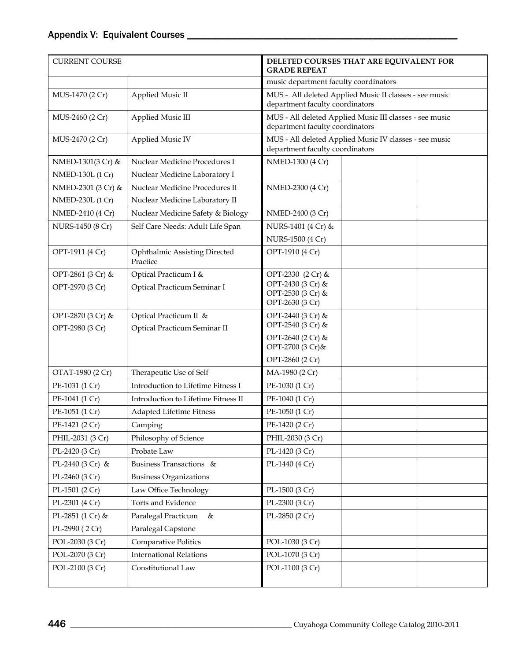| <b>CURRENT COURSE</b> | DELETED COURSES THAT ARE EQUIVALENT FOR<br><b>GRADE REPEAT</b> |                                                                                            |  |  |
|-----------------------|----------------------------------------------------------------|--------------------------------------------------------------------------------------------|--|--|
|                       |                                                                | music department faculty coordinators                                                      |  |  |
| MUS-1470 (2 Cr)       | Applied Music II                                               | MUS - All deleted Applied Music II classes - see music<br>department faculty coordinators  |  |  |
| MUS-2460 (2 Cr)       | Applied Music III                                              | MUS - All deleted Applied Music III classes - see music<br>department faculty coordinators |  |  |
| MUS-2470 (2 Cr)       | Applied Music IV                                               | MUS - All deleted Applied Music IV classes - see music<br>department faculty coordinators  |  |  |
| NMED-1301(3 Cr) &     | Nuclear Medicine Procedures I                                  | NMED-1300 (4 Cr)                                                                           |  |  |
| NMED-130L (1 Cr)      | Nuclear Medicine Laboratory I                                  |                                                                                            |  |  |
| NMED-2301 (3 Cr) &    | Nuclear Medicine Procedures II                                 | NMED-2300 (4 Cr)                                                                           |  |  |
| NMED-230L (1 Cr)      | Nuclear Medicine Laboratory II                                 |                                                                                            |  |  |
| NMED-2410 (4 Cr)      | Nuclear Medicine Safety & Biology                              | NMED-2400 (3 Cr)                                                                           |  |  |
| NURS-1450 (8 Cr)      | Self Care Needs: Adult Life Span                               | NURS-1401 (4 Cr) &                                                                         |  |  |
|                       |                                                                | NURS-1500 (4 Cr)                                                                           |  |  |
| OPT-1911 (4 Cr)       | Ophthalmic Assisting Directed<br>Practice                      | OPT-1910 (4 Cr)                                                                            |  |  |
| OPT-2861 (3 Cr) &     | Optical Practicum I &                                          | OPT-2330 (2 Cr) &                                                                          |  |  |
| OPT-2970 (3 Cr)       | Optical Practicum Seminar I                                    | OPT-2430 (3 Cr) &<br>OPT-2530 (3 Cr) &<br>OPT-2630 (3 Cr)                                  |  |  |
| OPT-2870 (3 Cr) &     | Optical Practicum II &                                         | OPT-2440 (3 Cr) &                                                                          |  |  |
| OPT-2980 (3 Cr)       | Optical Practicum Seminar II                                   | OPT-2540 (3 Cr) &                                                                          |  |  |
|                       |                                                                | OPT-2640 (2 Cr) &<br>OPT-2700 (3 Cr)&                                                      |  |  |
|                       |                                                                | OPT-2860 (2 Cr)                                                                            |  |  |
| OTAT-1980 (2 Cr)      | Therapeutic Use of Self                                        | MA-1980 (2 Cr)                                                                             |  |  |
| PE-1031 (1 Cr)        | Introduction to Lifetime Fitness I                             | PE-1030 (1 Cr)                                                                             |  |  |
| PE-1041 (1 Cr)        | Introduction to Lifetime Fitness II                            | PE-1040 (1 Cr)                                                                             |  |  |
| PE-1051 (1 Cr)        | Adapted Lifetime Fitness                                       | PE-1050 (1 Cr)                                                                             |  |  |
| PE-1421 (2 Cr)        | Camping                                                        | PE-1420 (2 Cr)                                                                             |  |  |
| PHIL-2031 (3 Cr)      | Philosophy of Science                                          | PHIL-2030 (3 Cr)                                                                           |  |  |
| PL-2420 (3 Cr)        | Probate Law                                                    | PL-1420 (3 Cr)                                                                             |  |  |
| PL-2440 (3 Cr) &      | Business Transactions &                                        | PL-1440 (4 Cr)                                                                             |  |  |
| PL-2460 (3 Cr)        | <b>Business Organizations</b>                                  |                                                                                            |  |  |
| PL-1501 (2 Cr)        | Law Office Technology                                          | PL-1500 (3 Cr)                                                                             |  |  |
| PL-2301 (4 Cr)        | Torts and Evidence                                             | PL-2300 (3 Cr)                                                                             |  |  |
| PL-2851 (1 Cr) &      | Paralegal Practicum<br>$\&$                                    | PL-2850 (2 Cr)                                                                             |  |  |
| PL-2990 (2 Cr)        | Paralegal Capstone                                             |                                                                                            |  |  |
| POL-2030 (3 Cr)       | Comparative Politics                                           | POL-1030 (3 Cr)                                                                            |  |  |
| POL-2070 (3 Cr)       | <b>International Relations</b>                                 | POL-1070 (3 Cr)                                                                            |  |  |
| POL-2100 (3 Cr)       | Constitutional Law                                             | POL-1100 (3 Cr)                                                                            |  |  |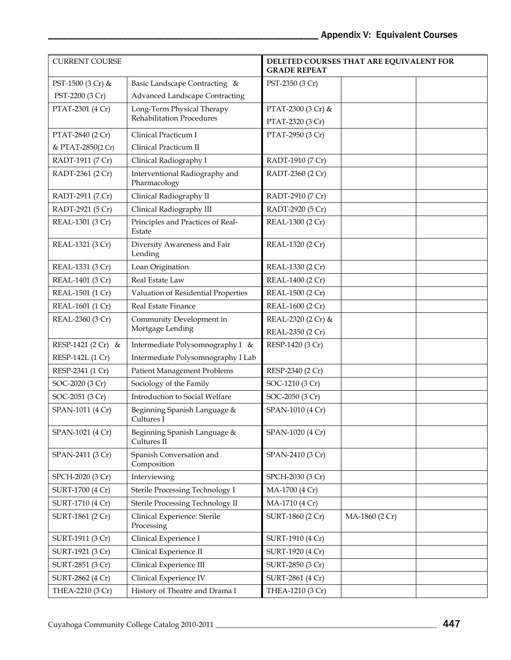| <b>CURRENT COURSE</b> |                                                | DELETED COURSES THAT ARE EQUIVALENT FOR<br><b>GRADE REPEAT</b> |  |
|-----------------------|------------------------------------------------|----------------------------------------------------------------|--|
| PST-1500 (3 Cr) &     | Basic Landscape Contracting &                  | PST-2350 (3 Cr)                                                |  |
| PST-2200 (3 Cr)       | <b>Advanced Landscape Contracting</b>          |                                                                |  |
| PTAT-2301 (4 Cr)      | Long-Term Physical Therapy                     | PTAT-2300 (3 Cr) &                                             |  |
|                       | Rehabilitation Procedures                      | PTAT-2320 (3 Cr)                                               |  |
| PTAT-2840 (2 Cr)      | Clinical Practicum I                           | PTAT-2950 (3 Cr)                                               |  |
| & PTAT-2850(2 Cr)     | Clinical Practicum II                          |                                                                |  |
| RADT-1911 (7 Cr)      | Clinical Radiography I                         | RADT-1910 (7 Cr)                                               |  |
| RADT-2361 (2 Cr)      | Interventional Radiography and<br>Pharmacology | RADT-2360 (2 Cr)                                               |  |
| RADT-2911 (7 Cr)      | Clinical Radiography II                        | RADT-2910 (7 Cr)                                               |  |
| RADT-2921 (5 Cr)      | Clinical Radiography III                       | RADT-2920 (5 Cr)                                               |  |
| REAL-1301 (3 Cr)      | Principles and Practices of Real-<br>Estate    | REAL-1300 (2 Cr)                                               |  |
| REAL-1321 (3 Cr)      | Diversity Awareness and Fair<br>Lending        | REAL-1320 (2 Cr)                                               |  |
| REAL-1331 (3 Cr)      | Loan Origination                               | REAL-1330 (2 Cr)                                               |  |
| REAL-1401 (3 Cr)      | Real Estate Law                                | REAL-1400 (2 Cr)                                               |  |
| REAL-1501 (1 Cr)      | Valuation of Residential Properties            | REAL-1500 (2 Cr)                                               |  |
| REAL-1601 (1 Cr)      | Real Estate Finance                            | REAL-1600 (2 Cr)                                               |  |
| REAL-2360 (3 Cr)      | Community Development in                       | REAL-2320 (2 Cr) &                                             |  |
|                       | Mortgage Lending                               | REAL-2350 (2 Cr)                                               |  |
| RESP-1421 (2 Cr) &    | Intermediate Polysomnography I &               | RESP-1420 (3 Cr)                                               |  |
| RESP-142L (1 Cr)      | Intermediate Polysomnography I Lab             |                                                                |  |
| RESP-2341 (1 Cr)      | <b>Patient Management Problems</b>             | RESP-2340 (2 Cr)                                               |  |
| SOC-2020 (3 Cr)       | Sociology of the Family                        | SOC-1210 (3 Cr)                                                |  |
| SOC-2051 (3 Cr)       | Introduction to Social Welfare                 | SOC-2050 (3 Cr)                                                |  |
| SPAN-1011 (4 Cr)      | Beginning Spanish Language &<br>Cultures I     | SPAN-1010 (4 Cr)                                               |  |
| SPAN-1021 (4 Cr)      | Beginning Spanish Language &<br>Cultures II    | SPAN-1020 (4 Cr)                                               |  |
| SPAN-2411 (3 Cr)      | Spanish Conversation and<br>Composition        | SPAN-2410 (3 Cr)                                               |  |
| SPCH-2020 (3 Cr)      | Interviewing                                   | SPCH-2030 (3 Cr)                                               |  |
| SURT-1700 (4 Cr)      | Sterile Processing Technology I                | MA-1700 (4 Cr)                                                 |  |
| SURT-1710 (4 Cr)      | Sterile Processing Technology II               | MA-1710 (4 Cr)                                                 |  |
| SURT-1861 (2 Cr)      | Clinical Experience: Sterile<br>Processing     | SURT-1860 (2 Cr)<br>MA-1860 (2 Cr)                             |  |
| SURT-1911 (3 Cr)      | Clinical Experience I                          | SURT-1910 (4 Cr)                                               |  |
| SURT-1921 (3 Cr)      | Clinical Experience II                         | SURT-1920 (4 Cr)                                               |  |
| SURT-2851 (3 Cr)      | Clinical Experience III                        | SURT-2850 (3 Cr)                                               |  |
| SURT-2862 (4 Cr)      | Clinical Experience IV                         | SURT-2861 (4 Cr)                                               |  |
| THEA-2210 (3 Cr)      | History of Theatre and Drama I                 | THEA-1210 (3 Cr)                                               |  |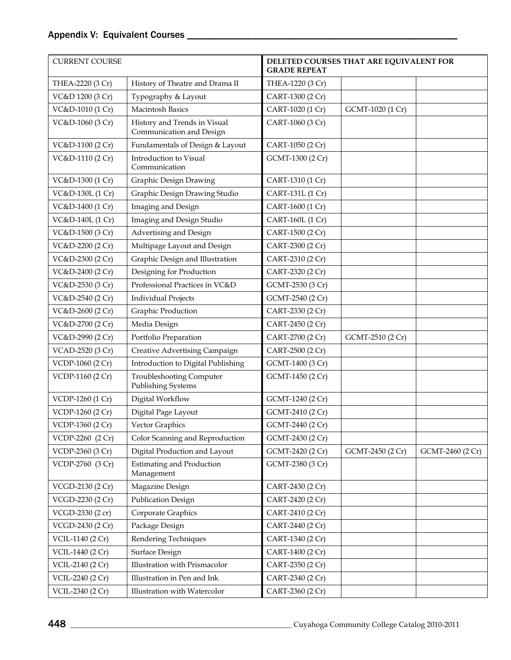| <b>CURRENT COURSE</b> | DELETED COURSES THAT ARE EQUIVALENT FOR<br><b>GRADE REPEAT</b> |                  |                  |                  |
|-----------------------|----------------------------------------------------------------|------------------|------------------|------------------|
| THEA-2220 (3 Cr)      | History of Theatre and Drama II                                | THEA-1220 (3 Cr) |                  |                  |
| VC&D 1200 (3 Cr)      | Typography & Layout                                            | CART-1300 (2 Cr) |                  |                  |
| VC&D-1010 (1 Cr)      | <b>Macintosh Basics</b>                                        | CART-1020 (1 Cr) | GCMT-1020 (1 Cr) |                  |
| VC&D-1060 (3 Cr)      | History and Trends in Visual<br>Communication and Design       | CART-1060 (3 Cr) |                  |                  |
| VC&D-1100 (2 Cr)      | Fundamentals of Design & Layout                                | CART-1050 (2 Cr) |                  |                  |
| VC&D-1110 (2 Cr)      | Introduction to Visual<br>Communication                        | GCMT-1300 (2 Cr) |                  |                  |
| VC&D-1300 (1 Cr)      | Graphic Design Drawing                                         | CART-1310 (1 Cr) |                  |                  |
| VC&D-130L (1 Cr)      | Graphic Design Drawing Studio                                  | CART-131L (1 Cr) |                  |                  |
| VC&D-1400 (1 Cr)      | Imaging and Design                                             | CART-1600 (1 Cr) |                  |                  |
| VC&D-140L (1 Cr)      | Imaging and Design Studio                                      | CART-160L (1 Cr) |                  |                  |
| VC&D-1500 (3 Cr)      | Advertising and Design                                         | CART-1500 (2 Cr) |                  |                  |
| VC&D-2200 (2 Cr)      | Multipage Layout and Design                                    | CART-2300 (2 Cr) |                  |                  |
| VC&D-2300 (2 Cr)      | Graphic Design and Illustration                                | CART-2310 (2 Cr) |                  |                  |
| VC&D-2400 (2 Cr)      | Designing for Production                                       | CART-2320 (2 Cr) |                  |                  |
| VC&D-2530 (3 Cr)      | Professional Practices in VC&D                                 | GCMT-2530 (3 Cr) |                  |                  |
| VC&D-2540 (2 Cr)      | <b>Individual Projects</b>                                     | GCMT-2540 (2 Cr) |                  |                  |
| VC&D-2600 (2 Cr)      | Graphic Production                                             | CART-2330 (2 Cr) |                  |                  |
| VC&D-2700 (2 Cr)      | Media Design                                                   | CART-2450 (2 Cr) |                  |                  |
| VC&D-2990 (2 Cr)      | Portfolio Preparation                                          | CART-2700 (2 Cr) | GCMT-2510 (2 Cr) |                  |
| VCAD-2520 (3 Cr)      | Creative Advertising Campaign                                  | CART-2500 (2 Cr) |                  |                  |
| VCDP-1060 (2 Cr)      | Introduction to Digital Publishing                             | GCMT-1400 (3 Cr) |                  |                  |
| VCDP-1160 (2 Cr)      | <b>Troubleshooting Computer</b><br>Publishing Systems          | GCMT-1450 (2 Cr) |                  |                  |
| VCDP-1260 (1 Cr)      | Digital Workflow                                               | GCMT-1240 (2 Cr) |                  |                  |
| VCDP-1260 (2 Cr)      | Digital Page Layout                                            | GCMT-2410 (2 Cr) |                  |                  |
| VCDP-1360 (2 Cr)      | Vector Graphics                                                | GCMT-2440 (2 Cr) |                  |                  |
| VCDP-2260 (2 Cr)      | Color Scanning and Reproduction                                | GCMT-2430 (2 Cr) |                  |                  |
| VCDP-2360 (3 Cr)      | Digital Production and Layout                                  | GCMT-2420 (2 Cr) | GCMT-2450 (2 Cr) | GCMT-2460 (2 Cr) |
| VCDP-2760 (3 Cr)      | <b>Estimating and Production</b><br>Management                 | GCMT-2380 (3 Cr) |                  |                  |
| VCGD-2130 (2 Cr)      | Magazine Design                                                | CART-2430 (2 Cr) |                  |                  |
| VCGD-2230 (2 Cr)      | Publication Design                                             | CART-2420 (2 Cr) |                  |                  |
| VCGD-2330 (2 cr)      | Corporate Graphics                                             | CART-2410 (2 Cr) |                  |                  |
| VCGD-2430 (2 Cr)      | Package Design                                                 | CART-2440 (2 Cr) |                  |                  |
| VCIL-1140 (2 Cr)      | Rendering Techniques                                           | CART-1340 (2 Cr) |                  |                  |
| VCIL-1440 (2 Cr)      | Surface Design                                                 | CART-1400 (2 Cr) |                  |                  |
| VCIL-2140 (2 Cr)      | Illustration with Prismacolor                                  | CART-2350 (2 Cr) |                  |                  |
| VCIL-2240 (2 Cr)      | Illustration in Pen and Ink                                    | CART-2340 (2 Cr) |                  |                  |
| VCIL-2340 (2 Cr)      | Illustration with Watercolor                                   | CART-2360 (2 Cr) |                  |                  |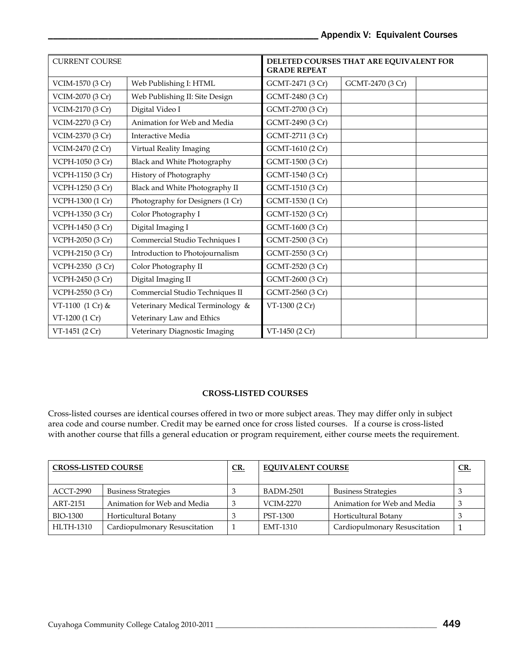| <b>CURRENT COURSE</b> |                                    | DELETED COURSES THAT ARE EQUIVALENT FOR<br><b>GRADE REPEAT</b> |                  |
|-----------------------|------------------------------------|----------------------------------------------------------------|------------------|
| VCIM-1570 (3 Cr)      | Web Publishing I: HTML             | GCMT-2471 (3 Cr)                                               | GCMT-2470 (3 Cr) |
| VCIM-2070 (3 Cr)      | Web Publishing II: Site Design     | GCMT-2480 (3 Cr)                                               |                  |
| VCIM-2170 (3 Cr)      | Digital Video I                    | GCMT-2700 (3 Cr)                                               |                  |
| VCIM-2270 (3 Cr)      | Animation for Web and Media        | GCMT-2490 (3 Cr)                                               |                  |
| VCIM-2370 (3 Cr)      | Interactive Media                  | GCMT-2711 (3 Cr)                                               |                  |
| VCIM-2470 (2 Cr)      | Virtual Reality Imaging            | GCMT-1610 (2 Cr)                                               |                  |
| VCPH-1050 (3 Cr)      | <b>Black and White Photography</b> | GCMT-1500 (3 Cr)                                               |                  |
| VCPH-1150 (3 Cr)      | History of Photography             | GCMT-1540 (3 Cr)                                               |                  |
| VCPH-1250 (3 Cr)      | Black and White Photography II     | GCMT-1510 (3 Cr)                                               |                  |
| VCPH-1300 (1 Cr)      | Photography for Designers (1 Cr)   | GCMT-1530 (1 Cr)                                               |                  |
| VCPH-1350 (3 Cr)      | Color Photography I                | GCMT-1520 (3 Cr)                                               |                  |
| VCPH-1450 (3 Cr)      | Digital Imaging I                  | GCMT-1600 (3 Cr)                                               |                  |
| VCPH-2050 (3 Cr)      | Commercial Studio Techniques I     | GCMT-2500 (3 Cr)                                               |                  |
| VCPH-2150 (3 Cr)      | Introduction to Photojournalism    | GCMT-2550 (3 Cr)                                               |                  |
| VCPH-2350 (3 Cr)      | Color Photography II               | GCMT-2520 (3 Cr)                                               |                  |
| VCPH-2450 (3 Cr)      | Digital Imaging II                 | GCMT-2600 (3 Cr)                                               |                  |
| VCPH-2550 (3 Cr)      | Commercial Studio Techniques II    | GCMT-2560 (3 Cr)                                               |                  |
| VT-1100 (1 Cr) &      | Veterinary Medical Terminology &   | VT-1300 (2 Cr)                                                 |                  |
| VT-1200 (1 Cr)        | Veterinary Law and Ethics          |                                                                |                  |
| VT-1451 (2 Cr)        | Veterinary Diagnostic Imaging      | VT-1450 (2 Cr)                                                 |                  |

#### **CROSS-LISTED COURSES**

Cross-listed courses are identical courses offered in two or more subject areas. They may differ only in subject area code and course number. Credit may be earned once for cross listed courses. If a course is cross-listed with another course that fills a general education or program requirement, either course meets the requirement.

| <b>CROSS-LISTED COURSE</b> |                               | <u>CR.</u> | <b>EQUIVALENT COURSE</b> |                               | <u>CR.</u> |
|----------------------------|-------------------------------|------------|--------------------------|-------------------------------|------------|
| ACCT-2990                  | <b>Business Strategies</b>    |            | <b>BADM-2501</b>         | <b>Business Strategies</b>    |            |
| ART-2151                   | Animation for Web and Media   | 3          | VCIM-2270                | Animation for Web and Media   |            |
| BIO-1300                   | Horticultural Botany          |            | PST-1300                 | Horticultural Botany          |            |
| <b>HLTH-1310</b>           | Cardiopulmonary Resuscitation |            | EMT-1310                 | Cardiopulmonary Resuscitation |            |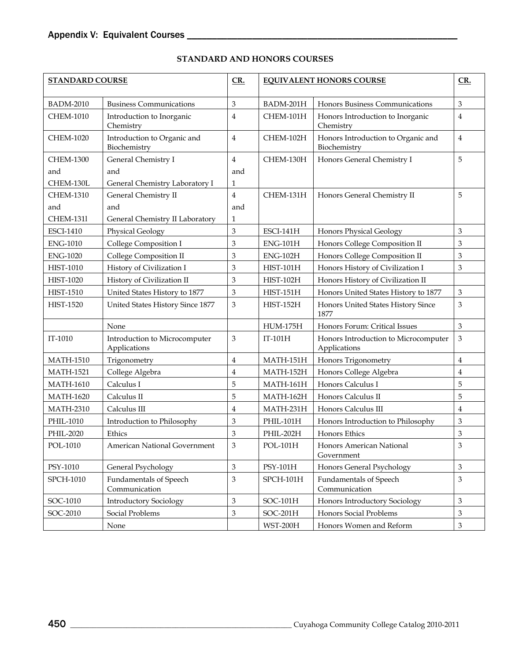| <b>STANDARD COURSE</b> |                                               | CR.                       | <b>EQUIVALENT HONORS COURSE</b> |                                                      | CR.                       |
|------------------------|-----------------------------------------------|---------------------------|---------------------------------|------------------------------------------------------|---------------------------|
| <b>BADM-2010</b>       | <b>Business Communications</b>                | 3                         | BADM-201H                       | Honors Business Communications                       | 3                         |
| <b>CHEM-1010</b>       | Introduction to Inorganic<br>Chemistry        | 4                         | CHEM-101H                       | Honors Introduction to Inorganic<br>Chemistry        | $\overline{4}$            |
| <b>CHEM-1020</b>       | Introduction to Organic and<br>Biochemistry   | 4                         | CHEM-102H                       | Honors Introduction to Organic and<br>Biochemistry   | $\overline{4}$            |
| <b>CHEM-1300</b>       | General Chemistry I                           | 4                         | CHEM-130H                       | Honors General Chemistry I                           | 5                         |
| and                    | and                                           | and                       |                                 |                                                      |                           |
| CHEM-130L              | General Chemistry Laboratory I                | 1                         |                                 |                                                      |                           |
| <b>CHEM-1310</b>       | General Chemistry II                          | 4                         | CHEM-131H                       | Honors General Chemistry II                          | 5                         |
| and                    | and                                           | and                       |                                 |                                                      |                           |
| <b>CHEM-131l</b>       | General Chemistry II Laboratory               | 1                         |                                 |                                                      |                           |
| <b>ESCI-1410</b>       | <b>Physical Geology</b>                       | 3                         | ESCI-141H                       | <b>Honors Physical Geology</b>                       | 3                         |
| <b>ENG-1010</b>        | College Composition I                         | $\mathfrak{B}$            | $ENG-101H$                      | Honors College Composition II                        | 3                         |
| <b>ENG-1020</b>        | College Composition II                        | 3                         | $ENG-102H$                      | Honors College Composition II                        | 3                         |
| <b>HIST-1010</b>       | History of Civilization I                     | 3                         | $HIST-101H$                     | Honors History of Civilization I                     | 3                         |
| HIST-1020              | History of Civilization II                    | 3                         | <b>HIST-102H</b>                | Honors History of Civilization II                    |                           |
| <b>HIST-1510</b>       | United States History to 1877                 | $\,3$                     | $HIST-151H$                     | Honors United States History to 1877                 | 3                         |
| <b>HIST-1520</b>       | United States History Since 1877              | 3                         | HIST-152H                       | Honors United States History Since<br>1877           | $\mathfrak{B}$            |
|                        | None                                          |                           | <b>HUM-175H</b>                 | Honors Forum: Critical Issues                        | $\mathfrak{B}$            |
| IT-1010                | Introduction to Microcomputer<br>Applications | 3                         | IT-101H                         | Honors Introduction to Microcomputer<br>Applications | 3                         |
| <b>MATH-1510</b>       | Trigonometry                                  | 4                         | $MATH-151H$                     | Honors Trigonometry                                  | $\overline{4}$            |
| <b>MATH-1521</b>       | College Algebra                               | 4                         | MATH-152H                       | Honors College Algebra                               | 4                         |
| <b>MATH-1610</b>       | Calculus I                                    | 5                         | MATH-161H                       | Honors Calculus I                                    | 5                         |
| <b>MATH-1620</b>       | Calculus II                                   | 5                         | MATH-162H                       | Honors Calculus II                                   | 5                         |
| <b>MATH-2310</b>       | Calculus III                                  | 4                         | MATH-231H                       | Honors Calculus III                                  | $\overline{4}$            |
| PHIL-1010              | Introduction to Philosophy                    | $\ensuremath{\mathbf{3}}$ | PHIL-101H                       | Honors Introduction to Philosophy                    | 3                         |
| PHIL-2020              | Ethics                                        | 3                         | PHIL-202H                       | Honors Ethics                                        | 3                         |
| POL-1010               | American National Government                  | $\,3$                     | $POL-101H$                      | Honors American National<br>Government               | 3                         |
| PSY-1010               | General Psychology                            | $\mathfrak{Z}$            | PSY-101H                        | Honors General Psychology                            | $\mathfrak{Z}$            |
| SPCH-1010              | Fundamentals of Speech<br>Communication       | 3                         | SPCH-101H                       | <b>Fundamentals of Speech</b><br>Communication       | $\mathfrak{Z}$            |
| SOC-1010               | <b>Introductory Sociology</b>                 | $\,3$                     | SOC-101H                        | Honors Introductory Sociology                        | $\mathfrak{B}$            |
| SOC-2010               | Social Problems                               | $\,3$                     | SOC-201H                        | Honors Social Problems                               | 3                         |
|                        | None                                          |                           | <b>WST-200H</b>                 | Honors Women and Reform                              | $\ensuremath{\mathbf{3}}$ |

## **STANDARD AND HONORS COURSES**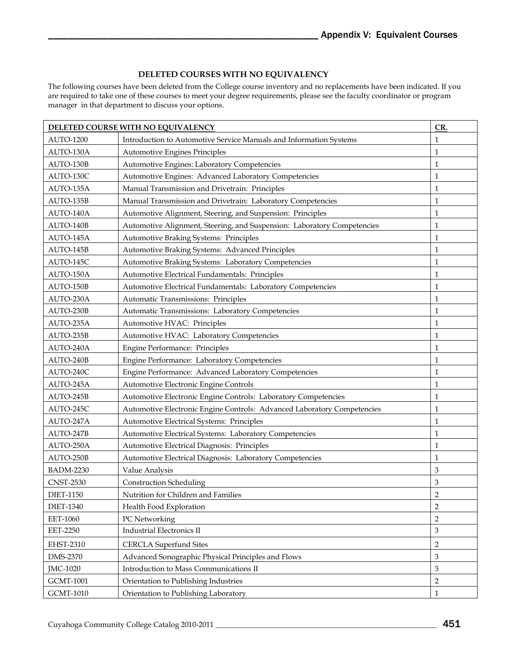## **DELETED COURSES WITH NO EQUIVALENCY**

The following courses have been deleted from the College course inventory and no replacements have been indicated. If you are required to take one of these courses to meet your degree requirements, please see the faculty coordinator or program manager in that department to discuss your options.

| DELETED COURSE WITH NO EQUIVALENCY |                                                                         | CR.            |
|------------------------------------|-------------------------------------------------------------------------|----------------|
| <b>AUTO-1200</b>                   | Introduction to Automotive Service Manuals and Information Systems      |                |
| AUTO-130A                          | Automotive Engines Principles                                           |                |
| AUTO-130B                          | Automotive Engines: Laboratory Competencies                             |                |
| AUTO-130C                          | Automotive Engines: Advanced Laboratory Competencies                    |                |
| AUTO-135A                          | Manual Transmission and Drivetrain: Principles                          |                |
| AUTO-135B                          | Manual Transmission and Drivetrain: Laboratory Competencies             | $\mathbf{1}$   |
| AUTO-140A                          | Automotive Alignment, Steering, and Suspension: Principles              |                |
| AUTO-140B                          | Automotive Alignment, Steering, and Suspension: Laboratory Competencies |                |
| AUTO-145A                          | Automotive Braking Systems: Principles                                  | $\mathbf{1}$   |
| AUTO-145B                          | Automotive Braking Systems: Advanced Principles                         | $\mathbf{1}$   |
| AUTO-145C                          | Automotive Braking Systems: Laboratory Competencies                     |                |
| AUTO-150A                          | Automotive Electrical Fundamentals: Principles                          | $\mathbf{1}$   |
| AUTO-150B                          | Automotive Electrical Fundamentals: Laboratory Competencies             | $\mathbf{1}$   |
| AUTO-230A                          | Automatic Transmissions: Principles                                     | $\mathbf{1}$   |
| AUTO-230B                          | Automatic Transmissions: Laboratory Competencies                        | $\mathbf{1}$   |
| AUTO-235A                          | Automotive HVAC: Principles                                             | $\mathbf{1}$   |
| AUTO-235B                          | Automotive HVAC: Laboratory Competencies                                | $\mathbf 1$    |
| AUTO-240A                          | Engine Performance: Principles                                          | $\mathbf{1}$   |
| AUTO-240B                          | Engine Performance: Laboratory Competencies                             | $\mathbf{1}$   |
| AUTO-240C                          | Engine Performance: Advanced Laboratory Competencies                    | $\mathbf{1}$   |
| AUTO-245A                          | Automotive Electronic Engine Controls                                   | $\mathbf 1$    |
| AUTO-245B                          | Automotive Electronic Engine Controls: Laboratory Competencies          | $\mathbf{1}$   |
| AUTO-245C                          | Automotive Electronic Engine Controls: Advanced Laboratory Competencies |                |
| AUTO-247A                          | Automotive Electrical Systems: Principles                               | $\mathbf{1}$   |
| AUTO-247B                          | Automotive Electrical Systems: Laboratory Competencies                  | $\mathbf{1}$   |
| AUTO-250A                          | Automotive Electrical Diagnosis: Principles                             | $\mathbf{1}$   |
| AUTO-250B                          | Automotive Electrical Diagnosis: Laboratory Competencies                | $\mathbf{1}$   |
| <b>BADM-2230</b>                   | Value Analysis                                                          | $\mathfrak{Z}$ |
| <b>CNST-2530</b>                   | <b>Construction Scheduling</b>                                          | 3              |
| <b>DIET-1150</b>                   | Nutrition for Children and Families                                     | $\sqrt{2}$     |
| <b>DIET-1340</b>                   | Health Food Exploration                                                 | $\overline{2}$ |
| EET-1060                           | PC Networking                                                           | $\overline{2}$ |
| <b>EET-2250</b>                    | <b>Industrial Electronics II</b>                                        | 3              |
| EHST-2310                          | <b>CERCLA Superfund Sites</b>                                           | $\overline{2}$ |
| <b>DMS-2370</b>                    | Advanced Sonographic Physical Principles and Flows                      | $\mathfrak{Z}$ |
| JMC-1020                           | Introduction to Mass Communications II                                  | $\overline{3}$ |
| <b>GCMT-1001</b>                   | Orientation to Publishing Industries                                    |                |
| <b>GCMT-1010</b>                   | Orientation to Publishing Laboratory                                    | $\mathbf{1}$   |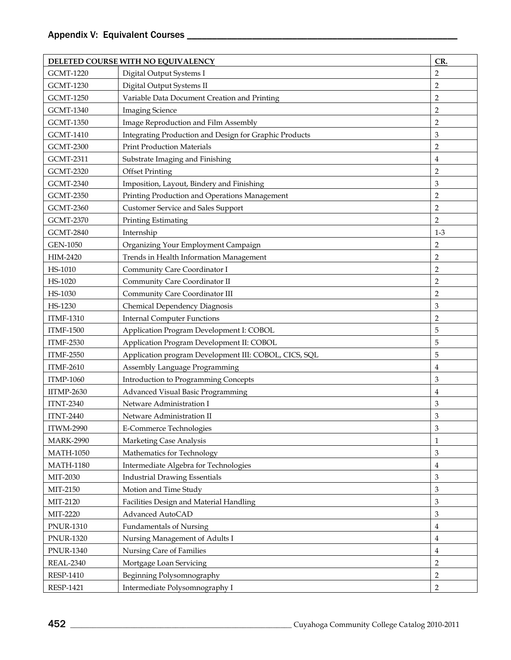| DELETED COURSE WITH NO EQUIVALENCY |                                                        | CR.            |
|------------------------------------|--------------------------------------------------------|----------------|
| <b>GCMT-1220</b>                   | Digital Output Systems I                               |                |
| <b>GCMT-1230</b>                   | Digital Output Systems II                              | $\overline{2}$ |
| <b>GCMT-1250</b>                   | Variable Data Document Creation and Printing           | $\overline{2}$ |
| <b>GCMT-1340</b>                   | <b>Imaging Science</b>                                 | $\overline{2}$ |
| <b>GCMT-1350</b>                   | Image Reproduction and Film Assembly                   | $\overline{2}$ |
| <b>GCMT-1410</b>                   | Integrating Production and Design for Graphic Products | 3              |
| <b>GCMT-2300</b>                   | <b>Print Production Materials</b>                      | $\overline{2}$ |
| <b>GCMT-2311</b>                   | Substrate Imaging and Finishing                        | $\overline{4}$ |
| <b>GCMT-2320</b>                   | <b>Offset Printing</b>                                 | $\overline{2}$ |
| <b>GCMT-2340</b>                   | Imposition, Layout, Bindery and Finishing              | 3              |
| <b>GCMT-2350</b>                   | Printing Production and Operations Management          | $\overline{2}$ |
| <b>GCMT-2360</b>                   | <b>Customer Service and Sales Support</b>              | $\overline{2}$ |
| <b>GCMT-2370</b>                   | Printing Estimating                                    | $\overline{2}$ |
| <b>GCMT-2840</b>                   | Internship                                             | $1 - 3$        |
| <b>GEN-1050</b>                    | Organizing Your Employment Campaign                    | 2              |
| HIM-2420                           | Trends in Health Information Management                | $\overline{2}$ |
| HS-1010                            | Community Care Coordinator I                           | $\overline{2}$ |
| HS-1020                            | Community Care Coordinator II                          | $\overline{2}$ |
| HS-1030                            | Community Care Coordinator III                         | $\overline{2}$ |
| HS-1230                            | Chemical Dependency Diagnosis                          | 3              |
| <b>ITMF-1310</b>                   | <b>Internal Computer Functions</b>                     | $\overline{2}$ |
| <b>ITMF-1500</b>                   | Application Program Development I: COBOL               | 5              |
| <b>ITMF-2530</b>                   | Application Program Development II: COBOL              | 5              |
| <b>ITMF-2550</b>                   | Application program Development III: COBOL, CICS, SQL  | 5              |
| <b>ITMF-2610</b>                   | Assembly Language Programming                          | 4              |
| <b>ITMP-1060</b>                   | Introduction to Programming Concepts                   | 3              |
| $IITMP-2630$                       | Advanced Visual Basic Programming                      | 4              |
| <b>ITNT-2340</b>                   | Netware Administration I                               | 3              |
| <b>ITNT-2440</b>                   | Netware Administration II                              | 3              |
| <b>ITWM-2990</b>                   | <b>E-Commerce Technologies</b>                         | 3              |
| <b>MARK-2990</b>                   | Marketing Case Analysis                                | $\mathbf{1}$   |
| <b>MATH-1050</b>                   | Mathematics for Technology                             | 3              |
| <b>MATH-1180</b>                   | Intermediate Algebra for Technologies                  | 4              |
| MIT-2030                           | <b>Industrial Drawing Essentials</b>                   | 3              |
| MIT-2150                           | Motion and Time Study                                  | 3              |
| MIT-2120                           | Facilities Design and Material Handling                | 3              |
| MIT-2220                           | Advanced AutoCAD                                       | $\mathfrak{Z}$ |
| <b>PNUR-1310</b>                   | <b>Fundamentals of Nursing</b>                         | 4              |
| <b>PNUR-1320</b>                   | Nursing Management of Adults I                         | 4              |
| <b>PNUR-1340</b>                   | Nursing Care of Families                               | $\overline{4}$ |
| <b>REAL-2340</b>                   | Mortgage Loan Servicing                                | $\overline{2}$ |
| <b>RESP-1410</b>                   | Beginning Polysomnography                              | $\mathbf 2$    |
| <b>RESP-1421</b>                   | Intermediate Polysomnography I                         | 2              |